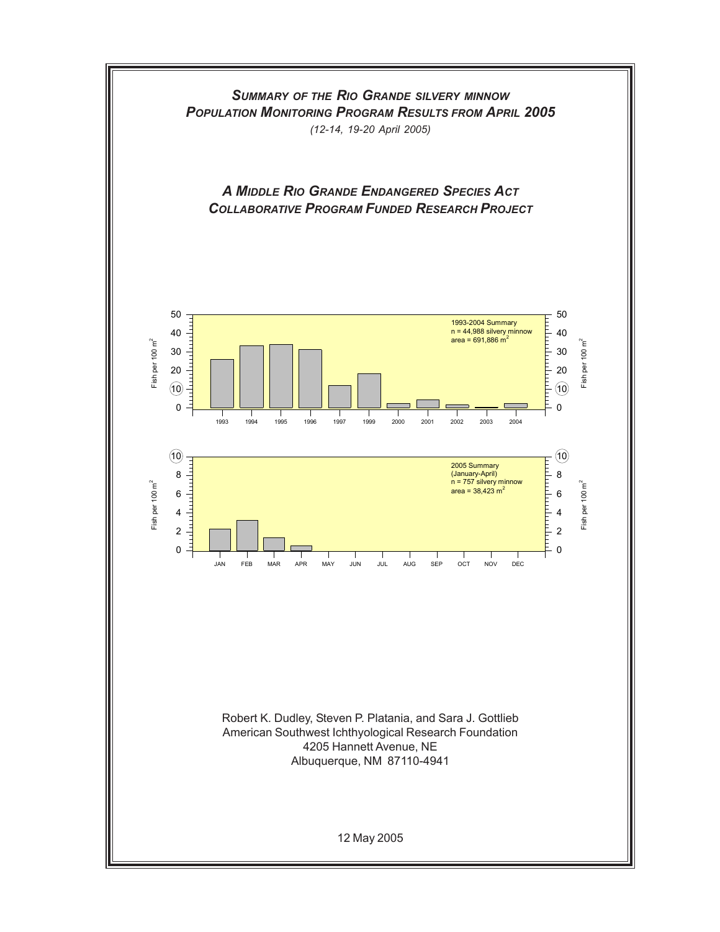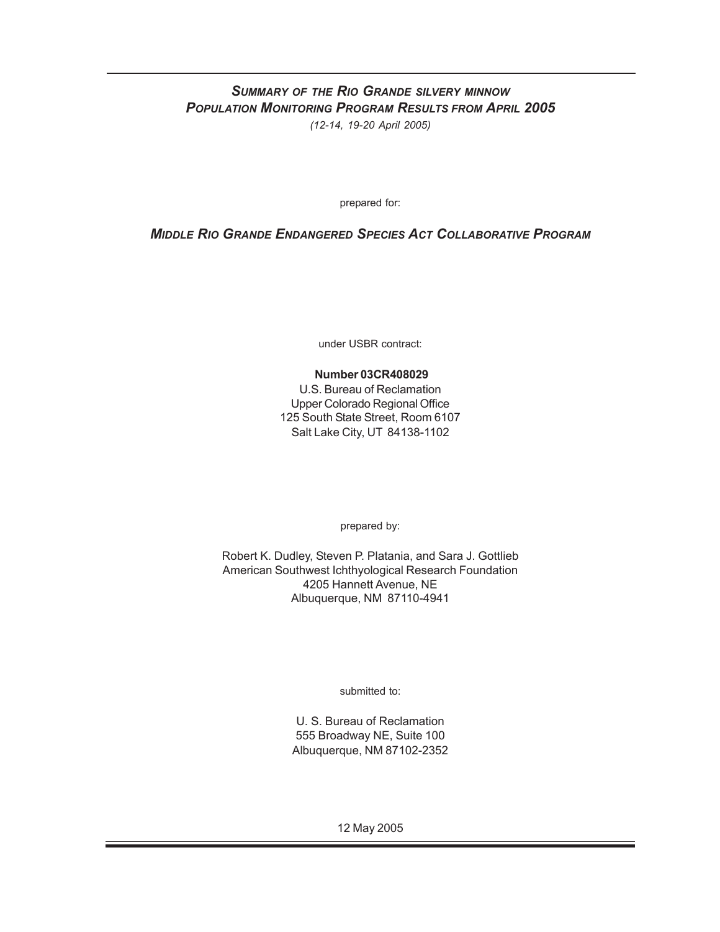## *SUMMARY OF THE RIO GRANDE SILVERY MINNOW POPULATION MONITORING PROGRAM RESULTS FROM APRIL 2005 (12-14, 19-20 April 2005)*

prepared for:

## *MIDDLE RIO GRANDE ENDANGERED SPECIES ACT COLLABORATIVE PROGRAM*

under USBR contract:

#### **Number 03CR408029**

U.S. Bureau of Reclamation Upper Colorado Regional Office 125 South State Street, Room 6107 Salt Lake City, UT 84138-1102

prepared by:

Robert K. Dudley, Steven P. Platania, and Sara J. Gottlieb American Southwest Ichthyological Research Foundation 4205 Hannett Avenue, NE Albuquerque, NM 87110-4941

submitted to:

U. S. Bureau of Reclamation 555 Broadway NE, Suite 100 Albuquerque, NM 87102-2352

12 May 2005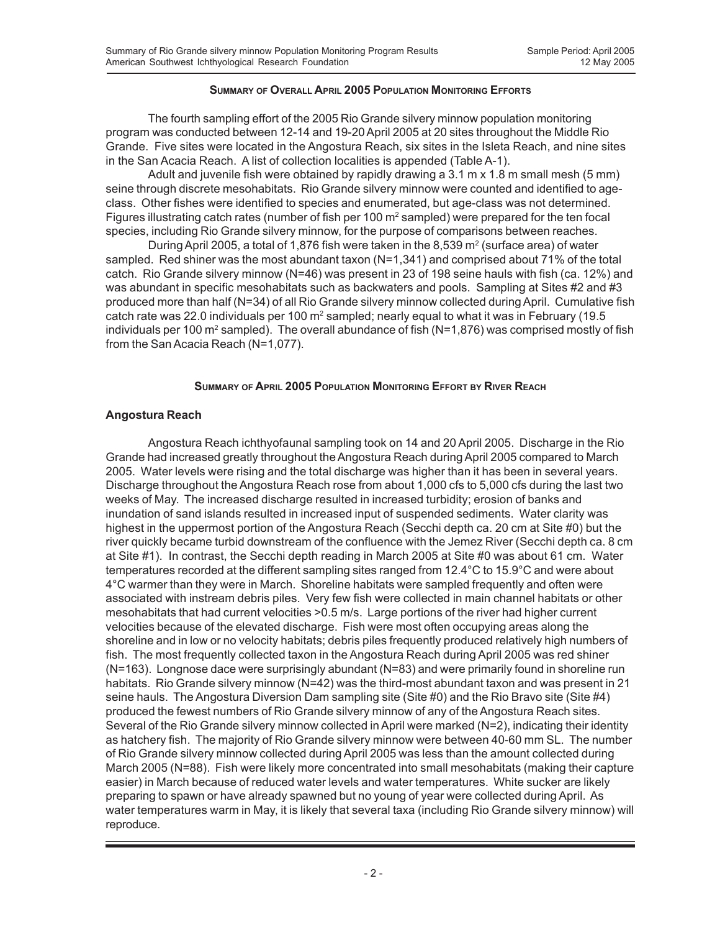#### **SUMMARY OF OVERALL APRIL 2005 POPULATION MONITORING EFFORTS**

The fourth sampling effort of the 2005 Rio Grande silvery minnow population monitoring program was conducted between 12-14 and 19-20 April 2005 at 20 sites throughout the Middle Rio Grande. Five sites were located in the Angostura Reach, six sites in the Isleta Reach, and nine sites in the San Acacia Reach. A list of collection localities is appended (Table A-1).

Adult and juvenile fish were obtained by rapidly drawing a 3.1 m x 1.8 m small mesh (5 mm) seine through discrete mesohabitats. Rio Grande silvery minnow were counted and identified to ageclass. Other fishes were identified to species and enumerated, but age-class was not determined. Figures illustrating catch rates (number of fish per 100 m<sup>2</sup> sampled) were prepared for the ten focal species, including Rio Grande silvery minnow, for the purpose of comparisons between reaches.

During April 2005, a total of 1,876 fish were taken in the 8,539  $m^2$  (surface area) of water sampled. Red shiner was the most abundant taxon (N=1,341) and comprised about 71% of the total catch. Rio Grande silvery minnow (N=46) was present in 23 of 198 seine hauls with fish (ca. 12%) and was abundant in specific mesohabitats such as backwaters and pools. Sampling at Sites #2 and #3 produced more than half (N=34) of all Rio Grande silvery minnow collected during April. Cumulative fish catch rate was 22.0 individuals per 100  $m^2$  sampled; nearly equal to what it was in February (19.5) individuals per 100 m<sup>2</sup> sampled). The overall abundance of fish (N=1,876) was comprised mostly of fish from the San Acacia Reach (N=1,077).

#### **SUMMARY OF APRIL 2005 POPULATION MONITORING EFFORT BY RIVER REACH**

#### **Angostura Reach**

Angostura Reach ichthyofaunal sampling took on 14 and 20 April 2005. Discharge in the Rio Grande had increased greatly throughout the Angostura Reach during April 2005 compared to March 2005. Water levels were rising and the total discharge was higher than it has been in several years. Discharge throughout the Angostura Reach rose from about 1,000 cfs to 5,000 cfs during the last two weeks of May. The increased discharge resulted in increased turbidity; erosion of banks and inundation of sand islands resulted in increased input of suspended sediments. Water clarity was highest in the uppermost portion of the Angostura Reach (Secchi depth ca. 20 cm at Site #0) but the river quickly became turbid downstream of the confluence with the Jemez River (Secchi depth ca. 8 cm at Site #1). In contrast, the Secchi depth reading in March 2005 at Site #0 was about 61 cm. Water temperatures recorded at the different sampling sites ranged from 12.4°C to 15.9°C and were about 4°C warmer than they were in March. Shoreline habitats were sampled frequently and often were associated with instream debris piles. Very few fish were collected in main channel habitats or other mesohabitats that had current velocities >0.5 m/s. Large portions of the river had higher current velocities because of the elevated discharge. Fish were most often occupying areas along the shoreline and in low or no velocity habitats; debris piles frequently produced relatively high numbers of fish. The most frequently collected taxon in the Angostura Reach during April 2005 was red shiner (N=163). Longnose dace were surprisingly abundant (N=83) and were primarily found in shoreline run habitats. Rio Grande silvery minnow (N=42) was the third-most abundant taxon and was present in 21 seine hauls. The Angostura Diversion Dam sampling site (Site #0) and the Rio Bravo site (Site #4) produced the fewest numbers of Rio Grande silvery minnow of any of the Angostura Reach sites. Several of the Rio Grande silvery minnow collected in April were marked (N=2), indicating their identity as hatchery fish. The majority of Rio Grande silvery minnow were between 40-60 mm SL. The number of Rio Grande silvery minnow collected during April 2005 was less than the amount collected during March 2005 (N=88). Fish were likely more concentrated into small mesohabitats (making their capture easier) in March because of reduced water levels and water temperatures. White sucker are likely preparing to spawn or have already spawned but no young of year were collected during April. As water temperatures warm in May, it is likely that several taxa (including Rio Grande silvery minnow) will reproduce.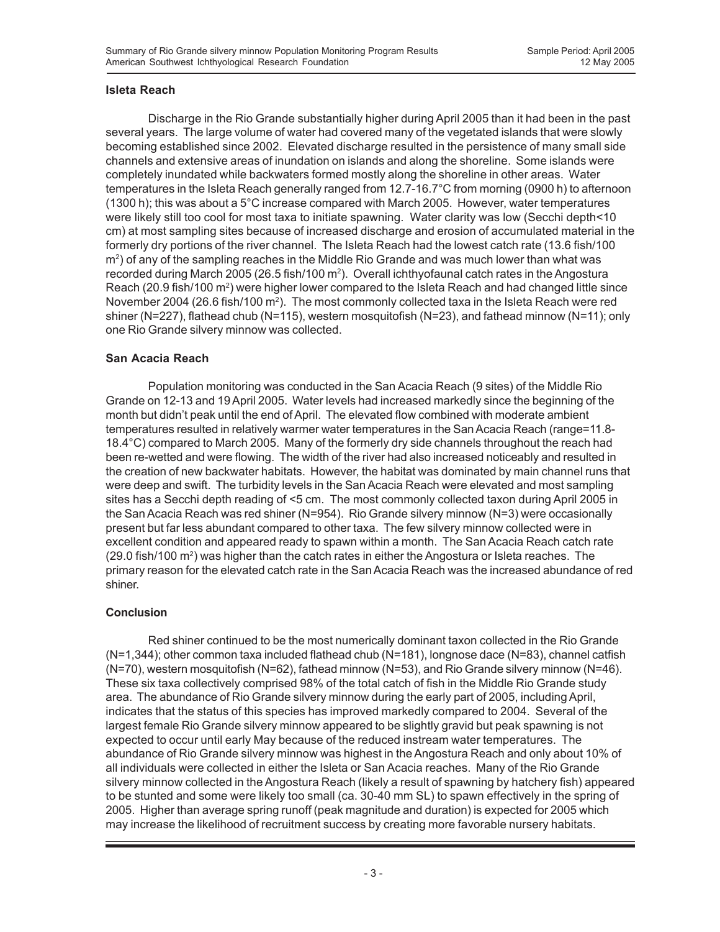#### **Isleta Reach**

Discharge in the Rio Grande substantially higher during April 2005 than it had been in the past several years. The large volume of water had covered many of the vegetated islands that were slowly becoming established since 2002. Elevated discharge resulted in the persistence of many small side channels and extensive areas of inundation on islands and along the shoreline. Some islands were completely inundated while backwaters formed mostly along the shoreline in other areas. Water temperatures in the Isleta Reach generally ranged from 12.7-16.7°C from morning (0900 h) to afternoon (1300 h); this was about a 5°C increase compared with March 2005. However, water temperatures were likely still too cool for most taxa to initiate spawning. Water clarity was low (Secchi depth<10 cm) at most sampling sites because of increased discharge and erosion of accumulated material in the formerly dry portions of the river channel. The Isleta Reach had the lowest catch rate (13.6 fish/100 m2 ) of any of the sampling reaches in the Middle Rio Grande and was much lower than what was recorded during March 2005 (26.5 fish/100 m<sup>2</sup>). Overall ichthyofaunal catch rates in the Angostura Reach (20.9 fish/100 m<sup>2</sup>) were higher lower compared to the Isleta Reach and had changed little since November 2004 (26.6 fish/100 m2 ). The most commonly collected taxa in the Isleta Reach were red shiner (N=227), flathead chub (N=115), western mosquitofish (N=23), and fathead minnow (N=11); only one Rio Grande silvery minnow was collected.

#### **San Acacia Reach**

Population monitoring was conducted in the San Acacia Reach (9 sites) of the Middle Rio Grande on 12-13 and 19 April 2005. Water levels had increased markedly since the beginning of the month but didn't peak until the end of April. The elevated flow combined with moderate ambient temperatures resulted in relatively warmer water temperatures in the San Acacia Reach (range=11.8- 18.4°C) compared to March 2005. Many of the formerly dry side channels throughout the reach had been re-wetted and were flowing. The width of the river had also increased noticeably and resulted in the creation of new backwater habitats. However, the habitat was dominated by main channel runs that were deep and swift. The turbidity levels in the San Acacia Reach were elevated and most sampling sites has a Secchi depth reading of <5 cm. The most commonly collected taxon during April 2005 in the San Acacia Reach was red shiner (N=954). Rio Grande silvery minnow (N=3) were occasionally present but far less abundant compared to other taxa. The few silvery minnow collected were in excellent condition and appeared ready to spawn within a month. The San Acacia Reach catch rate (29.0 fish/100 m2) was higher than the catch rates in either the Angostura or Isleta reaches. The primary reason for the elevated catch rate in the San Acacia Reach was the increased abundance of red shiner.

#### **Conclusion**

Red shiner continued to be the most numerically dominant taxon collected in the Rio Grande (N=1,344); other common taxa included flathead chub (N=181), longnose dace (N=83), channel catfish (N=70), western mosquitofish (N=62), fathead minnow (N=53), and Rio Grande silvery minnow (N=46). These six taxa collectively comprised 98% of the total catch of fish in the Middle Rio Grande study area. The abundance of Rio Grande silvery minnow during the early part of 2005, including April, indicates that the status of this species has improved markedly compared to 2004. Several of the largest female Rio Grande silvery minnow appeared to be slightly gravid but peak spawning is not expected to occur until early May because of the reduced instream water temperatures. The abundance of Rio Grande silvery minnow was highest in the Angostura Reach and only about 10% of all individuals were collected in either the Isleta or San Acacia reaches. Many of the Rio Grande silvery minnow collected in the Angostura Reach (likely a result of spawning by hatchery fish) appeared to be stunted and some were likely too small (ca. 30-40 mm SL) to spawn effectively in the spring of 2005. Higher than average spring runoff (peak magnitude and duration) is expected for 2005 which may increase the likelihood of recruitment success by creating more favorable nursery habitats.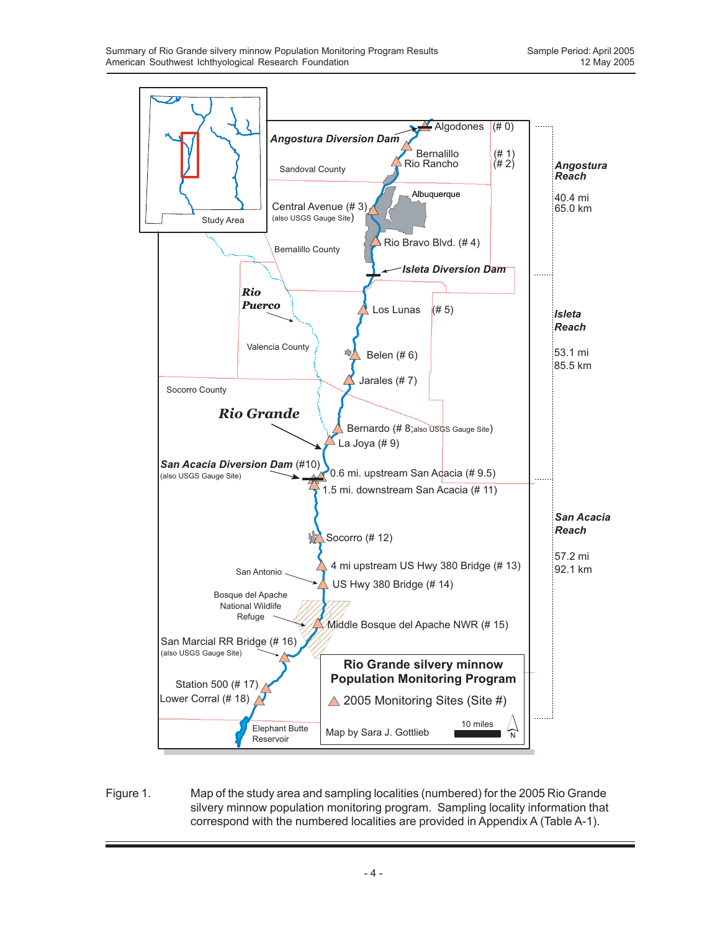

Figure 1. Map of the study area and sampling localities (numbered) for the 2005 Rio Grande silvery minnow population monitoring program. Sampling locality information that correspond with the numbered localities are provided in Appendix A (Table A-1).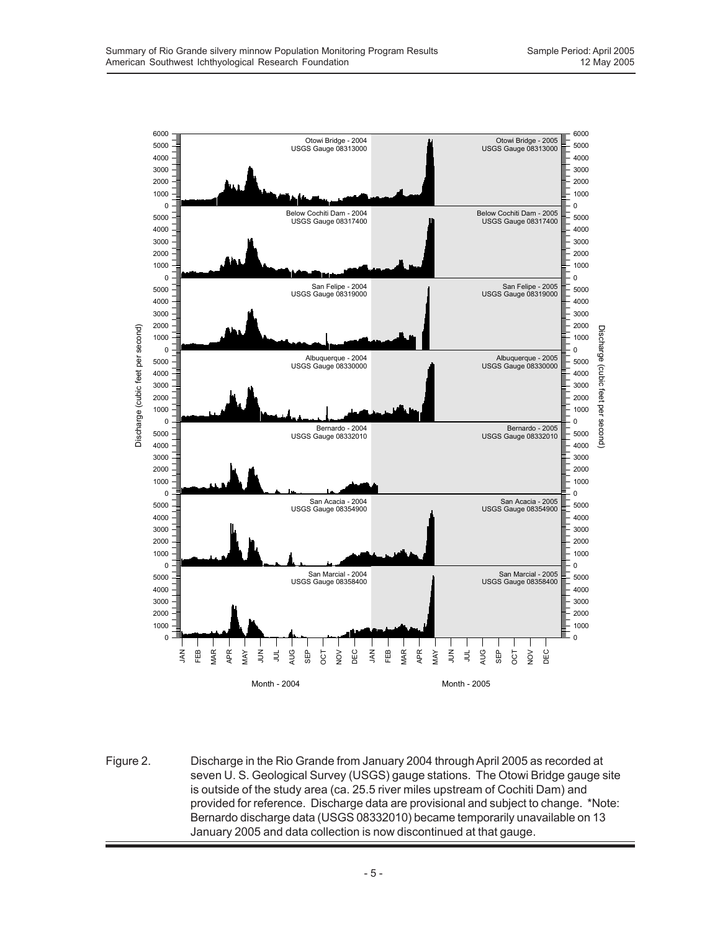

Figure 2. Discharge in the Rio Grande from January 2004 through April 2005 as recorded at seven U. S. Geological Survey (USGS) gauge stations. The Otowi Bridge gauge site is outside of the study area (ca. 25.5 river miles upstream of Cochiti Dam) and provided for reference. Discharge data are provisional and subject to change. \*Note: Bernardo discharge data (USGS 08332010) became temporarily unavailable on 13 January 2005 and data collection is now discontinued at that gauge.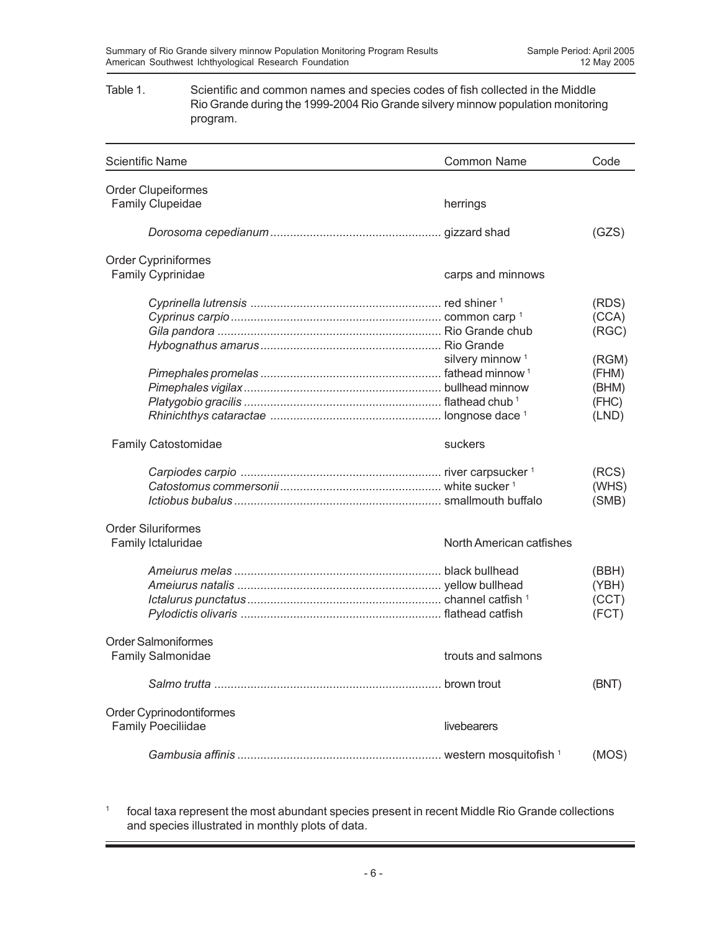#### Table 1. Scientific and common names and species codes of fish collected in the Middle Rio Grande during the 1999-2004 Rio Grande silvery minnow population monitoring program.

| <b>Scientific Name</b>     | <b>Common Name</b>          | Code  |
|----------------------------|-----------------------------|-------|
| <b>Order Clupeiformes</b>  |                             |       |
| Family Clupeidae           | herrings                    |       |
|                            |                             | (GZS) |
| Order Cypriniformes        |                             |       |
| <b>Family Cyprinidae</b>   | carps and minnows           |       |
|                            |                             | (RDS) |
|                            |                             | (CCA) |
|                            |                             | (RGC) |
|                            |                             |       |
|                            | silvery minnow <sup>1</sup> | (RGM) |
|                            |                             | (FHM) |
|                            |                             | (BHM) |
|                            |                             | (FHC) |
|                            |                             | (LND) |
| <b>Family Catostomidae</b> | suckers                     |       |
|                            |                             | (RCS) |
|                            |                             | (WHS) |
|                            |                             | (SMB) |
| <b>Order Siluriformes</b>  |                             |       |
| Family Ictaluridae         | North American catfishes    |       |
|                            |                             | (BBH) |
|                            |                             | (YBH) |
|                            |                             | (CCT) |
|                            |                             | (FCT) |
| <b>Order Salmoniformes</b> |                             |       |
| <b>Family Salmonidae</b>   | trouts and salmons          |       |
|                            |                             | (BNT) |
| Order Cyprinodontiformes   |                             |       |
| <b>Family Poeciliidae</b>  | livebearers                 |       |
|                            |                             | (MOS) |

<sup>1</sup> focal taxa represent the most abundant species present in recent Middle Rio Grande collections and species illustrated in monthly plots of data.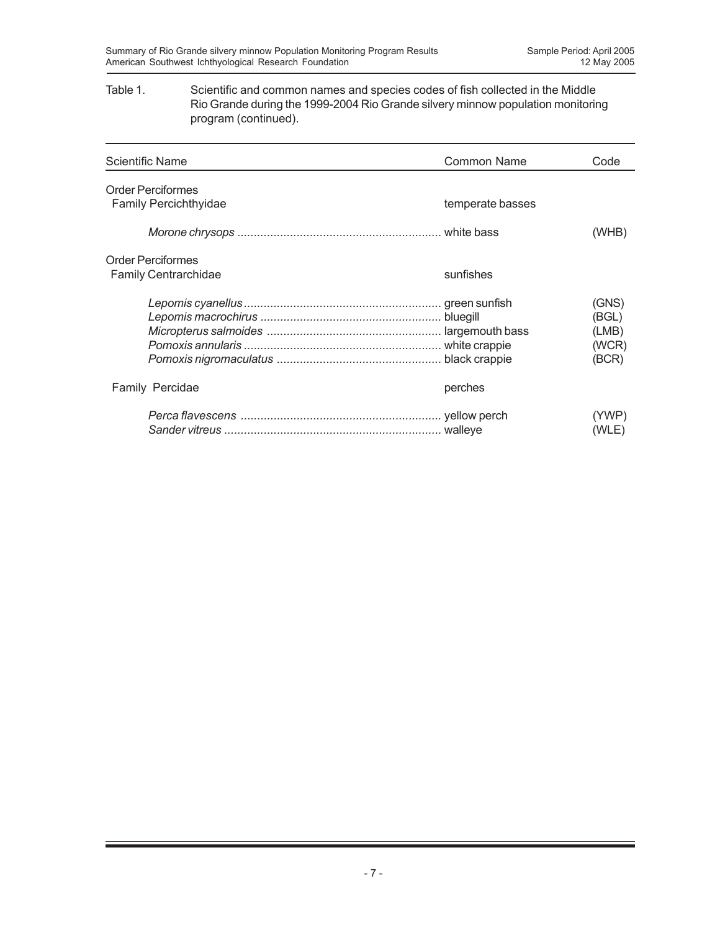#### Table 1. Scientific and common names and species codes of fish collected in the Middle Rio Grande during the 1999-2004 Rio Grande silvery minnow population monitoring program (continued).

| <b>Scientific Name</b>                                   | <b>Common Name</b> | Code                                      |
|----------------------------------------------------------|--------------------|-------------------------------------------|
| <b>Order Perciformes</b><br><b>Family Percichthyidae</b> | temperate basses   |                                           |
|                                                          |                    | (WHB)                                     |
| <b>Order Perciformes</b><br><b>Family Centrarchidae</b>  | sunfishes          |                                           |
|                                                          |                    | (GNS)<br>(BGL)<br>(LMB)<br>(WCR)<br>(BCR) |
| Family Percidae                                          | perches            |                                           |
|                                                          |                    | (YWP)<br>(WLE)                            |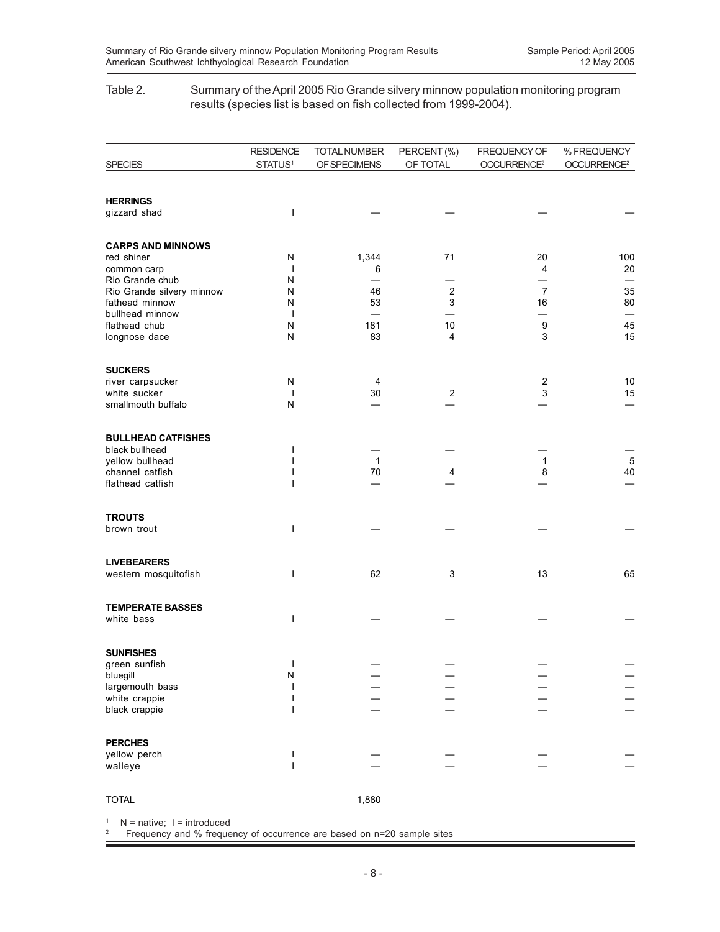#### Table 2. Summary of the April 2005 Rio Grande silvery minnow population monitoring program results (species list is based on fish collected from 1999-2004).

|                                             | <b>RESIDENCE</b>    | <b>TOTAL NUMBER</b> | PERCENT (%)         | FREQUENCY OF              | % FREQUENCY             |
|---------------------------------------------|---------------------|---------------------|---------------------|---------------------------|-------------------------|
| <b>SPECIES</b>                              | STATUS <sup>1</sup> | OF SPECIMENS        | OF TOTAL            | OCCURRENCE <sup>2</sup>   | OCCURRENCE <sup>2</sup> |
|                                             |                     |                     |                     |                           |                         |
| <b>HERRINGS</b>                             |                     |                     |                     |                           |                         |
| gizzard shad                                | I                   |                     |                     |                           |                         |
| <b>CARPS AND MINNOWS</b>                    |                     |                     |                     |                           |                         |
| red shiner                                  | N                   | 1,344               | 71                  | 20                        | 100                     |
| common carp                                 |                     | 6                   |                     | 4                         | $20\,$                  |
| Rio Grande chub                             | N                   |                     |                     |                           |                         |
| Rio Grande silvery minnow<br>fathead minnow | N<br>N              | 46<br>53            | $\overline{c}$<br>3 | $\overline{7}$<br>16      | 35<br>80                |
| bullhead minnow                             | $\mathbf{I}$        |                     |                     | $\overline{\phantom{0}}$  | $\qquad \qquad -$       |
| flathead chub                               | N                   | 181                 | 10                  | $\boldsymbol{9}$          | 45                      |
| longnose dace                               | N                   | 83                  | 4                   | $\mathsf 3$               | 15                      |
| <b>SUCKERS</b>                              |                     |                     |                     |                           |                         |
| river carpsucker                            | N                   | 4                   |                     | $\overline{c}$            | 10                      |
| white sucker                                | $\mathbf{I}$        | 30                  | $\overline{c}$      | $\ensuremath{\mathsf{3}}$ | 15                      |
| smallmouth buffalo                          | N                   |                     |                     |                           |                         |
| <b>BULLHEAD CATFISHES</b>                   |                     |                     |                     |                           |                         |
| black bullhead                              |                     |                     |                     |                           |                         |
| yellow bullhead                             |                     | $\mathbf{1}$        |                     | $\mathbf 1$               | $\overline{5}$<br>40    |
| channel catfish<br>flathead catfish         |                     | 70                  | 4                   | 8                         |                         |
|                                             |                     |                     |                     |                           |                         |
| <b>TROUTS</b><br>brown trout                | I                   |                     |                     |                           |                         |
|                                             |                     |                     |                     |                           |                         |
| <b>LIVEBEARERS</b>                          |                     |                     |                     | 13                        | 65                      |
| western mosquitofish                        | $\mathsf{I}$        | 62                  | 3                   |                           |                         |
| <b>TEMPERATE BASSES</b>                     |                     |                     |                     |                           |                         |
| white bass                                  | I                   |                     |                     |                           |                         |
| <b>SUNFISHES</b>                            |                     |                     |                     |                           |                         |
| green sunfish                               | I                   |                     |                     |                           |                         |
| bluegill<br>largemouth bass                 | ${\sf N}$           |                     |                     |                           |                         |
| white crappie                               | I                   |                     |                     |                           |                         |
| black crappie                               | I                   |                     |                     |                           |                         |
| <b>PERCHES</b>                              |                     |                     |                     |                           |                         |
| yellow perch                                | I                   |                     |                     |                           |                         |
| walleye                                     | ı                   |                     |                     |                           |                         |
| <b>TOTAL</b>                                |                     | 1,880               |                     |                           |                         |

 $1$  N = native; I = introduced

2 Frequency and % frequency of occurrence are based on n=20 sample sites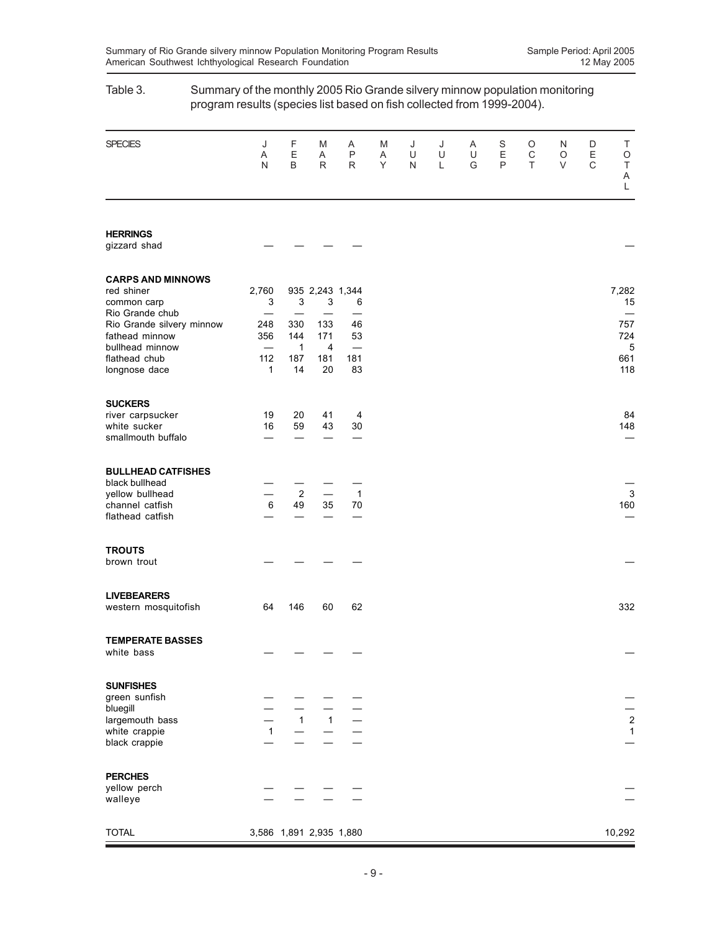| program results (species list based on fish collected from 1999-2004).                                                                                                       |                                                                             |                                              |                                                      |                            |             |             |             |             |                       |             |             |                                  |                                              |
|------------------------------------------------------------------------------------------------------------------------------------------------------------------------------|-----------------------------------------------------------------------------|----------------------------------------------|------------------------------------------------------|----------------------------|-------------|-------------|-------------|-------------|-----------------------|-------------|-------------|----------------------------------|----------------------------------------------|
| <b>SPECIES</b>                                                                                                                                                               | J<br>Α<br>N                                                                 | F<br>$\mathsf E$<br>B                        | M<br>Α<br>R                                          | Α<br>P<br>$\mathsf{R}$     | M<br>Α<br>Υ | J<br>U<br>N | J<br>U<br>Г | Α<br>U<br>G | $\mathbf S$<br>Ε<br>P | O<br>C<br>T | N<br>O<br>V | D<br>$\mathsf E$<br>$\mathsf{C}$ | Τ<br>$\circ$<br>$\top$<br>A<br>L             |
| <b>HERRINGS</b><br>gizzard shad                                                                                                                                              |                                                                             |                                              |                                                      |                            |             |             |             |             |                       |             |             |                                  |                                              |
| <b>CARPS AND MINNOWS</b><br>red shiner<br>common carp<br>Rio Grande chub<br>Rio Grande silvery minnow<br>fathead minnow<br>bullhead minnow<br>flathead chub<br>longnose dace | 2,760<br>3<br>248<br>356<br>$\overline{\phantom{0}}$<br>112<br>$\mathbf{1}$ | 3<br>330<br>144<br>$\mathbf{1}$<br>187<br>14 | 935 2,243 1,344<br>3<br>133<br>171<br>4<br>181<br>20 | 6<br>46<br>53<br>181<br>83 |             |             |             |             |                       |             |             |                                  | 7,282<br>15<br>757<br>724<br>5<br>661<br>118 |
| <b>SUCKERS</b><br>river carpsucker<br>white sucker<br>smallmouth buffalo                                                                                                     | 19<br>16                                                                    | 20<br>59                                     | 41<br>43                                             | 4<br>30                    |             |             |             |             |                       |             |             |                                  | 84<br>148                                    |
| <b>BULLHEAD CATFISHES</b><br>black bullhead<br>yellow bullhead<br>channel catfish<br>flathead catfish                                                                        | $\,6\,$                                                                     | $\overline{c}$<br>49                         | 35                                                   | $\mathbf{1}$<br>70         |             |             |             |             |                       |             |             |                                  | 3<br>160                                     |
| <b>TROUTS</b><br>brown trout                                                                                                                                                 |                                                                             |                                              |                                                      |                            |             |             |             |             |                       |             |             |                                  |                                              |
| <b>LIVEBEARERS</b><br>western mosquitofish                                                                                                                                   | 64                                                                          | 146                                          | 60                                                   | 62                         |             |             |             |             |                       |             |             |                                  | 332                                          |
| <b>TEMPERATE BASSES</b><br>white bass                                                                                                                                        |                                                                             |                                              |                                                      |                            |             |             |             |             |                       |             |             |                                  |                                              |
| <b>SUNFISHES</b><br>green sunfish<br>bluegill<br>largemouth bass<br>white crappie<br>black crappie                                                                           | $\mathbf{1}$                                                                | $1 -$                                        | $\overline{1}$                                       |                            |             |             |             |             |                       |             |             |                                  | $\begin{array}{c} 2 \\ 1 \end{array}$        |
| <b>PERCHES</b><br>yellow perch<br>walleye                                                                                                                                    |                                                                             |                                              |                                                      |                            |             |             |             |             |                       |             |             |                                  |                                              |
| <b>TOTAL</b>                                                                                                                                                                 | 3,586 1,891 2,935 1,880                                                     |                                              |                                                      |                            |             |             |             |             |                       |             |             |                                  | 10,292                                       |

# Table 3. Summary of the monthly 2005 Rio Grande silvery minnow population monitoring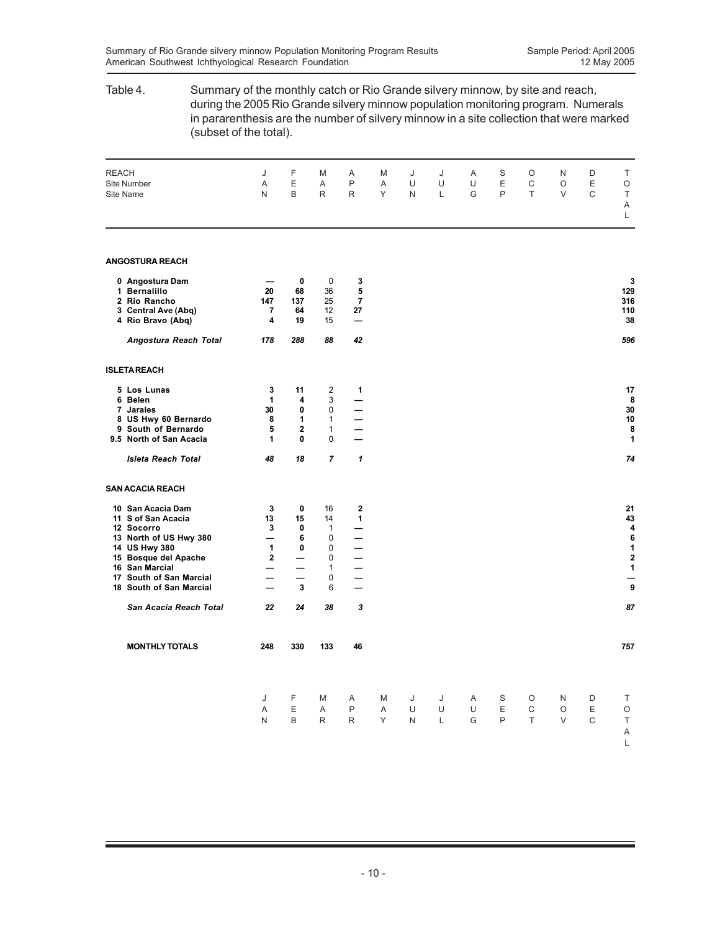| Table 4.<br>during the 2005 Rio Grande silvery minnow population monitoring program. Numerals<br>in pararenthesis are the number of silvery minnow in a site collection that were marked<br>(subset of the total). | Summary of the monthly catch or Rio Grande silvery minnow, by site and reach, |                                             |                                             |                                              |             |             |              |             |             |             |                  |                        |                                                                       |
|--------------------------------------------------------------------------------------------------------------------------------------------------------------------------------------------------------------------|-------------------------------------------------------------------------------|---------------------------------------------|---------------------------------------------|----------------------------------------------|-------------|-------------|--------------|-------------|-------------|-------------|------------------|------------------------|-----------------------------------------------------------------------|
| <b>REACH</b><br><b>Site Number</b><br>Site Name                                                                                                                                                                    | J<br>Α<br>N                                                                   | F<br>E<br>B                                 | M<br>Α<br>R                                 | Α<br>P<br>R                                  | M<br>Α<br>Y | J<br>U<br>N | J<br>U<br>L  | A<br>U<br>G | S<br>Ε<br>P | O<br>C<br>T | N<br>O<br>$\vee$ | D<br>$\mathsf E$<br>C  | Τ<br>O<br>Τ<br>Α<br>L                                                 |
| <b>ANGOSTURA REACH</b>                                                                                                                                                                                             |                                                                               |                                             |                                             |                                              |             |             |              |             |             |             |                  |                        |                                                                       |
| 0 Angostura Dam<br>1 Bernalillo<br>2 Rio Rancho<br>3 Central Ave (Abq)<br>4 Rio Bravo (Abq)                                                                                                                        | 20<br>147<br>7<br>4                                                           | 0<br>68<br>137<br>64<br>19                  | 0<br>36<br>25<br>12<br>15                   | 3<br>5<br>7<br>27<br>—                       |             |             |              |             |             |             |                  |                        | 3<br>129<br>316<br>110<br>38                                          |
| Angostura Reach Total                                                                                                                                                                                              | 178                                                                           | 288                                         | 88                                          | 42                                           |             |             |              |             |             |             |                  |                        | 596                                                                   |
| <b>ISLETAREACH</b>                                                                                                                                                                                                 |                                                                               |                                             |                                             |                                              |             |             |              |             |             |             |                  |                        |                                                                       |
| 5 Los Lunas<br>6 Belen<br>7 Jarales<br>8 US Hwy 60 Bernardo<br>9 South of Bernardo<br>9.5 North of San Acacia<br><b>Isleta Reach Total</b>                                                                         | 3<br>1<br>30<br>8<br>5<br>1<br>48                                             | 11<br>4<br>0<br>1<br>$\mathbf 2$<br>0<br>18 | 2<br>3<br>0<br>1<br>1<br>0<br>7             | 1<br>$\mathbf{1}$                            |             |             |              |             |             |             |                  |                        | 17<br>8<br>30<br>10<br>8<br>1<br>74                                   |
| <b>SAN ACACIA REACH</b>                                                                                                                                                                                            |                                                                               |                                             |                                             |                                              |             |             |              |             |             |             |                  |                        |                                                                       |
| 10 San Acacia Dam<br>11 S of San Acacia<br>12 Socorro<br>13 North of US Hwy 380<br>14 US Hwy 380<br>15 Bosque del Apache<br>16 San Marcial<br>17 South of San Marcial<br>18 South of San Marcial                   | 3<br>13<br>3<br>—<br>1<br>$\overline{\mathbf{2}}$<br>—                        | 0<br>15<br>0<br>6<br>0<br>—<br>—<br>3       | 16<br>14<br>1<br>0<br>0<br>0<br>1<br>0<br>6 | 2<br>1<br>—<br>—<br>$\overline{\phantom{0}}$ |             |             |              |             |             |             |                  |                        | 21<br>43<br>4<br>6<br>$\begin{array}{c} 1 \\ 2 \\ 1 \end{array}$<br>9 |
| San Acacia Reach Total                                                                                                                                                                                             | 22                                                                            | 24                                          | 38                                          | 3                                            |             |             |              |             |             |             |                  |                        | 87                                                                    |
| <b>MONTHLY TOTALS</b>                                                                                                                                                                                              | 248                                                                           | 330                                         | 133                                         | 46                                           |             |             |              |             |             |             |                  |                        | 757                                                                   |
|                                                                                                                                                                                                                    | J<br>Α<br>Ν                                                                   | F<br>E<br>B                                 | M<br>A<br>R                                 | A<br>P<br>R                                  | M<br>Α<br>Y | J<br>U<br>N | J<br>U<br>L. | A<br>U<br>G | S<br>E<br>P | O<br>C<br>T | N<br>O<br>$\vee$ | D<br>Ε<br>$\mathsf{C}$ | Τ<br>$\circ$<br>$\top$<br>Α<br>L                                      |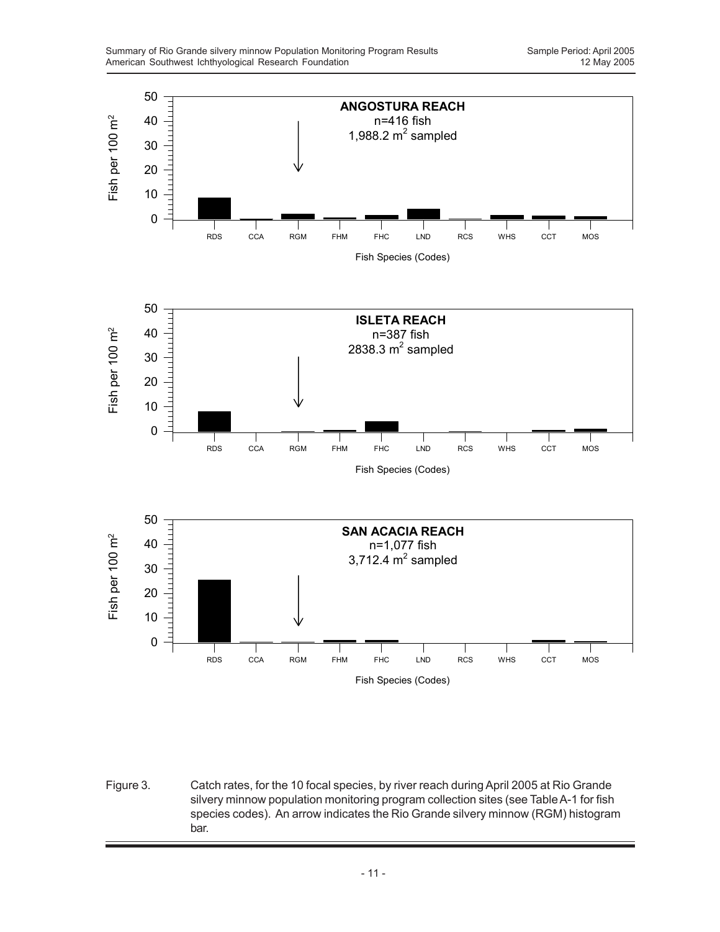

Figure 3. Catch rates, for the 10 focal species, by river reach during April 2005 at Rio Grande silvery minnow population monitoring program collection sites (see Table A-1 for fish species codes). An arrow indicates the Rio Grande silvery minnow (RGM) histogram bar.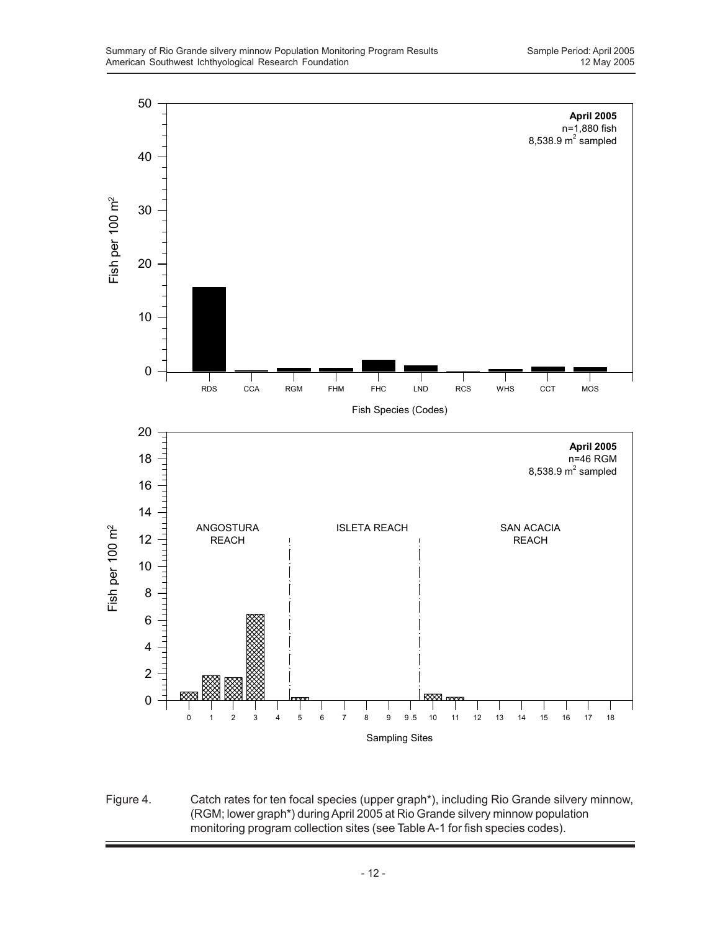

Figure 4. Catch rates for ten focal species (upper graph\*), including Rio Grande silvery minnow, (RGM; lower graph\*) during April 2005 at Rio Grande silvery minnow population monitoring program collection sites (see Table A-1 for fish species codes).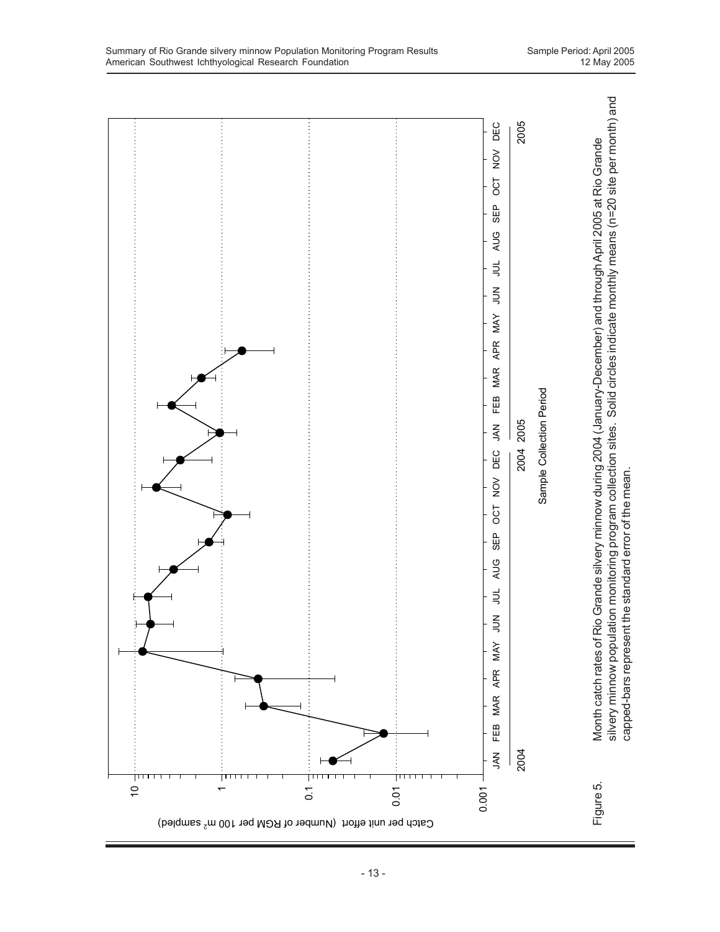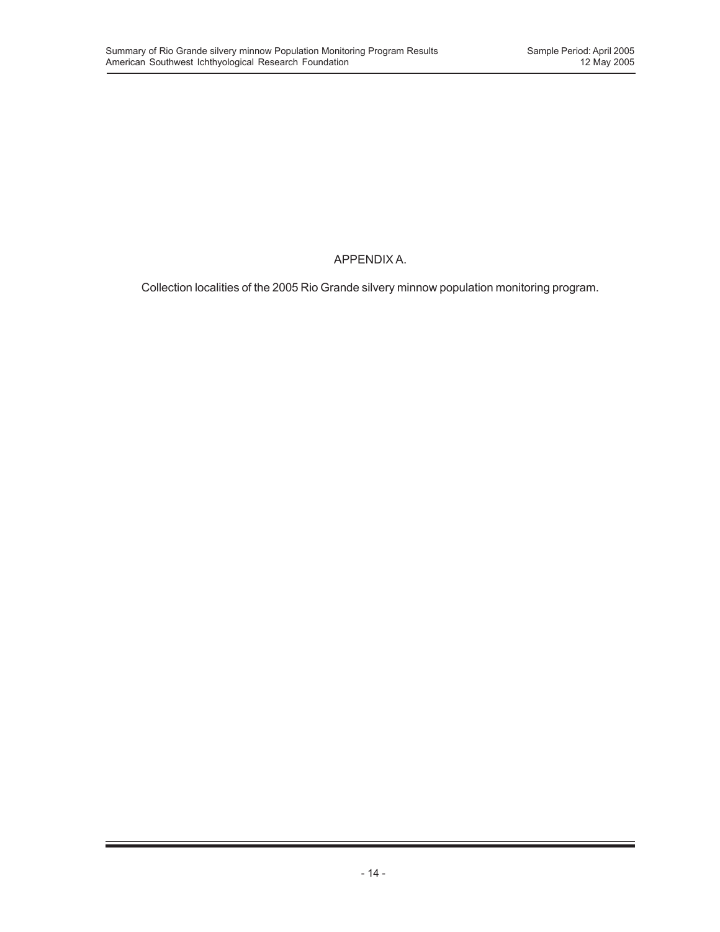## APPENDIX A.

Collection localities of the 2005 Rio Grande silvery minnow population monitoring program.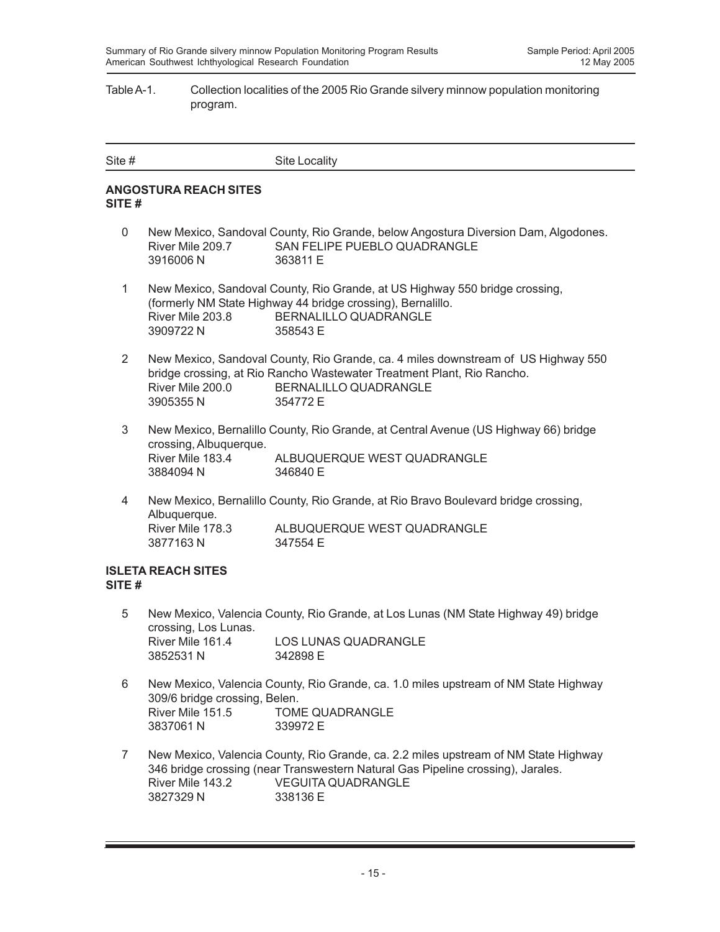#### Table A-1. Collection localities of the 2005 Rio Grande silvery minnow population monitoring program.

| Site # | Site Locality |
|--------|---------------|
|        |               |

#### **ANGOSTURA REACH SITES SITE #**

- 0 New Mexico, Sandoval County, Rio Grande, below Angostura Diversion Dam, Algodones. River Mile 209.7 SAN FELIPE PUEBLO QUADRANGLE 3916006 N 363811 E
- 1 New Mexico, Sandoval County, Rio Grande, at US Highway 550 bridge crossing, (formerly NM State Highway 44 bridge crossing), Bernalillo. River Mile 203.8 BERNALILLO QUADRANGLE 3909722 N 358543 E
- 2 New Mexico, Sandoval County, Rio Grande, ca. 4 miles downstream of US Highway 550 bridge crossing, at Rio Rancho Wastewater Treatment Plant, Rio Rancho. River Mile 200.0 BERNALILLO QUADRANGLE 3905355 N 354772 E
- 3 New Mexico, Bernalillo County, Rio Grande, at Central Avenue (US Highway 66) bridge crossing, Albuquerque. ALBUQUERQUE WEST QUADRANGLE 3884094 N 346840 E
- 4 New Mexico, Bernalillo County, Rio Grande, at Rio Bravo Boulevard bridge crossing, Albuquerque. River Mile 178.3 ALBUQUERQUE WEST QUADRANGLE 3877163 N 347554 E

#### **ISLETA REACH SITES SITE #**

- 5 New Mexico, Valencia County, Rio Grande, at Los Lunas (NM State Highway 49) bridge crossing, Los Lunas. River Mile 161.4 LOS LUNAS QUADRANGLE 3852531 N 342898 E
- 6 New Mexico, Valencia County, Rio Grande, ca. 1.0 miles upstream of NM State Highway 309/6 bridge crossing, Belen. River Mile 151.5 TOME QUADRANGLE 3837061 N 339972 E
- 7 New Mexico, Valencia County, Rio Grande, ca. 2.2 miles upstream of NM State Highway 346 bridge crossing (near Transwestern Natural Gas Pipeline crossing), Jarales. River Mile 143.2 VEGUITA QUADRANGLE 3827329 N 338136 E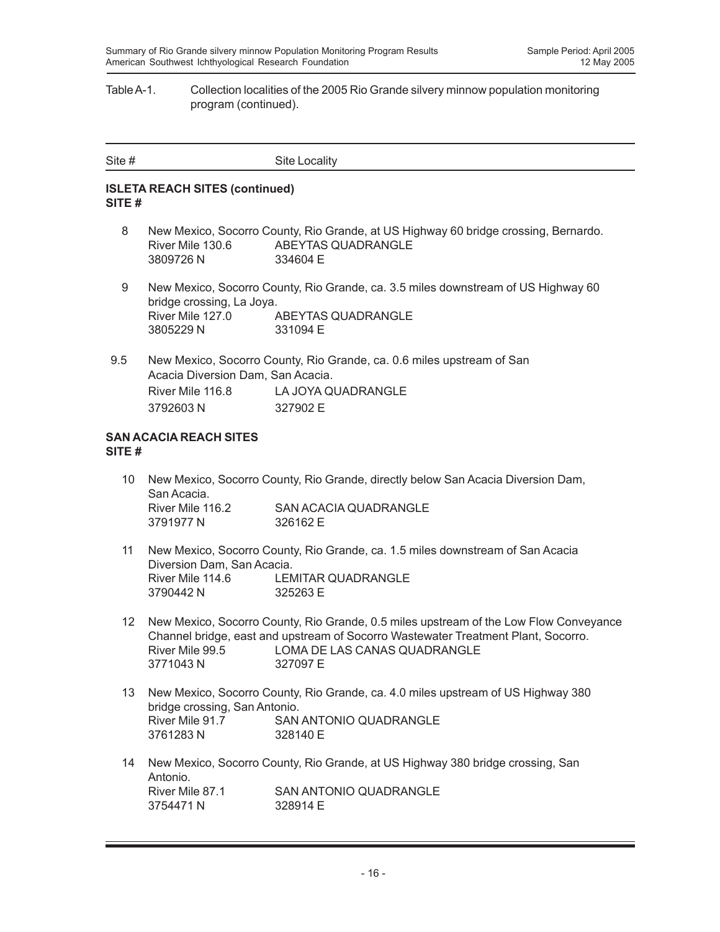#### Table A-1. Collection localities of the 2005 Rio Grande silvery minnow population monitoring program (continued).

| Site # | Site Locality |
|--------|---------------|
|        |               |

#### **ISLETA REACH SITES (continued) SITE #**

- 8 New Mexico, Socorro County, Rio Grande, at US Highway 60 bridge crossing, Bernardo. River Mile 130.6 ABEYTAS QUADRANGLE 3809726 N 334604 E
- 9 New Mexico, Socorro County, Rio Grande, ca. 3.5 miles downstream of US Highway 60 bridge crossing, La Joya. River Mile 127.0 ABEYTAS QUADRANGLE 3805229 N 331094 E
- 9.5 New Mexico, Socorro County, Rio Grande, ca. 0.6 miles upstream of San Acacia Diversion Dam, San Acacia. River Mile 116.8 LA JOYA QUADRANGLE 3792603 N 327902 E

#### **SAN ACACIA REACH SITES SITE #**

- 10 New Mexico, Socorro County, Rio Grande, directly below San Acacia Diversion Dam, San Acacia. River Mile 116.2 SAN ACACIA QUADRANGLE 3791977 N 326162 E
- 11 New Mexico, Socorro County, Rio Grande, ca. 1.5 miles downstream of San Acacia Diversion Dam, San Acacia. River Mile 114.6 LEMITAR QUADRANGLE 3790442 N 325263 E
- 12 New Mexico, Socorro County, Rio Grande, 0.5 miles upstream of the Low Flow Conveyance Channel bridge, east and upstream of Socorro Wastewater Treatment Plant, Socorro. River Mile 99.5 LOMA DE LAS CANAS QUADRANGLE 3771043 N 327097 E
- 13 New Mexico, Socorro County, Rio Grande, ca. 4.0 miles upstream of US Highway 380 bridge crossing, San Antonio. River Mile 91.7 SAN ANTONIO QUADRANGLE 3761283 N 328140 E
- 14 New Mexico, Socorro County, Rio Grande, at US Highway 380 bridge crossing, San Antonio.<br>River Mile 87.1 SAN ANTONIO QUADRANGLE 3754471 N 328914 F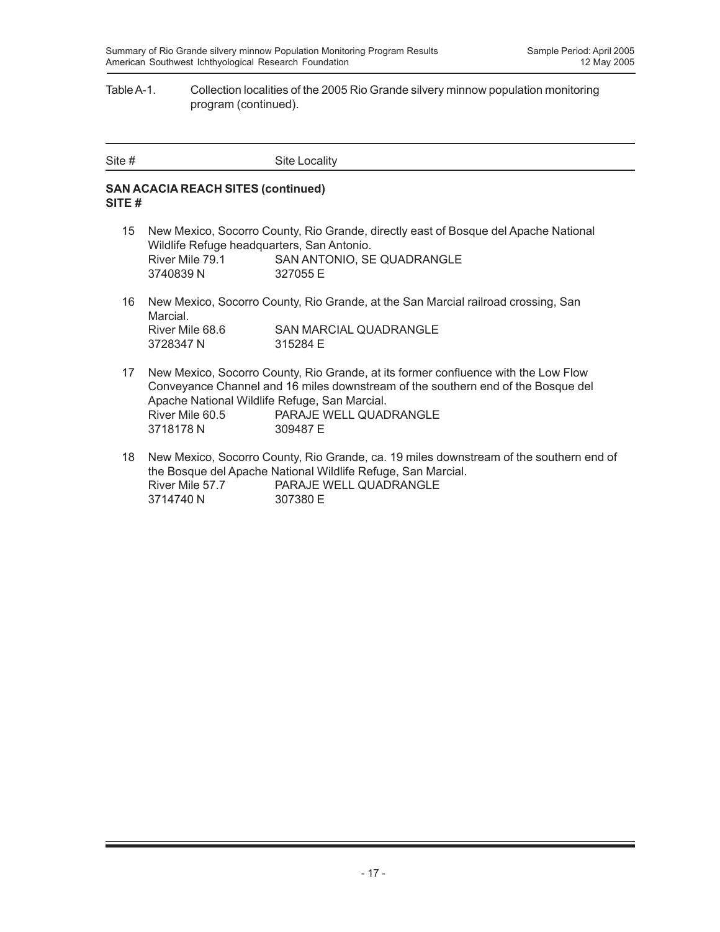#### Table A-1. Collection localities of the 2005 Rio Grande silvery minnow population monitoring program (continued).

| Site # |               |
|--------|---------------|
|        | Site Locality |

#### **SAN ACACIA REACH SITES (continued) SITE #**

- 15 New Mexico, Socorro County, Rio Grande, directly east of Bosque del Apache National Wildlife Refuge headquarters, San Antonio. River Mile 79.1 SAN ANTONIO, SE QUADRANGLE 3740839 N 327055 E
- 16 New Mexico, Socorro County, Rio Grande, at the San Marcial railroad crossing, San Marcial. River Mile 68.6 SAN MARCIAL QUADRANGLE<br>3728347 N 315284 E 3728347 N
- 17 New Mexico, Socorro County, Rio Grande, at its former confluence with the Low Flow Conveyance Channel and 16 miles downstream of the southern end of the Bosque del Apache National Wildlife Refuge, San Marcial. River Mile 60.5 PARAJE WELL QUADRANGLE 3718178 N 309487 E
- 18 New Mexico, Socorro County, Rio Grande, ca. 19 miles downstream of the southern end of the Bosque del Apache National Wildlife Refuge, San Marcial. River Mile 57.7 PARAJE WELL QUADRANGLE 3714740 N 307380 E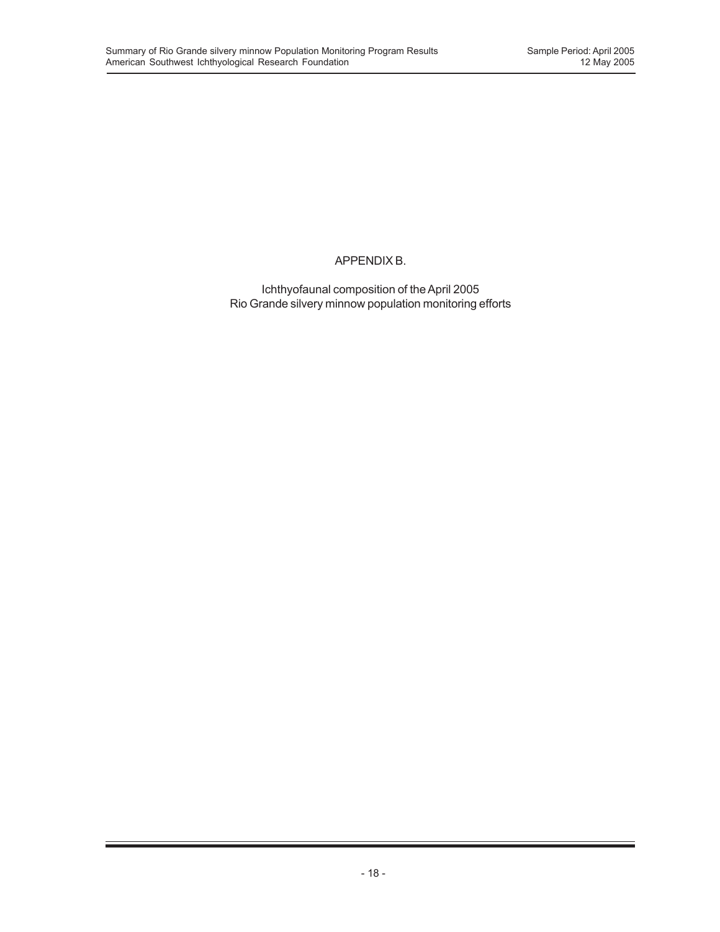## APPENDIX B.

Ichthyofaunal composition of the April 2005 Rio Grande silvery minnow population monitoring efforts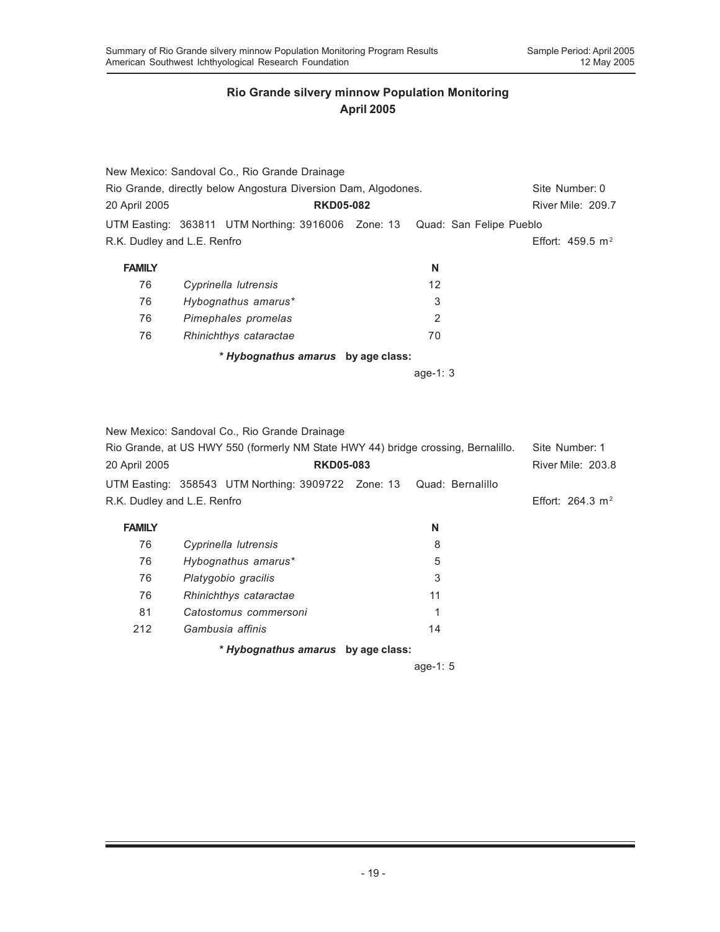|               | New Mexico: Sandoval Co., Rio Grande Drainage                              |            |                    |
|---------------|----------------------------------------------------------------------------|------------|--------------------|
|               | Rio Grande, directly below Angostura Diversion Dam, Algodones.             |            | Site Number: 0     |
| 20 April 2005 | <b>RKD05-082</b>                                                           |            | River Mile: 209.7  |
|               | UTM Easting: 363811 UTM Northing: 3916006 Zone: 13 Quad: San Felipe Pueblo |            |                    |
|               | R.K. Dudley and L.E. Renfro                                                |            | Effort: 459.5 $m2$ |
| <b>FAMILY</b> |                                                                            | N          |                    |
| 76            | Cyprinella lutrensis                                                       | 12         |                    |
| 76            | Hybognathus amarus*                                                        | 3          |                    |
| 76            | Pimephales promelas                                                        | 2          |                    |
| 76            | Rhinichthys cataractae                                                     | 70         |                    |
|               | * Hybognathus amarus by age class:                                         |            |                    |
|               |                                                                            | age-1: $3$ |                    |

New Mexico: Sandoval Co., Rio Grande Drainage

| Rio Grande, at US HWY 550 (formerly NM State HWY 44) bridge crossing, Bernalillo. | Site Number: 1                                                      |          |                    |
|-----------------------------------------------------------------------------------|---------------------------------------------------------------------|----------|--------------------|
| 20 April 2005                                                                     | <b>RKD05-083</b>                                                    |          | River Mile: 203.8  |
|                                                                                   | UTM Easting: 358543 UTM Northing: 3909722 Zone: 13 Quad: Bernalillo |          |                    |
|                                                                                   | R.K. Dudley and L.E. Renfro                                         |          | Effort: 264.3 $m2$ |
| <b>FAMILY</b>                                                                     |                                                                     | N        |                    |
| 76                                                                                | Cyprinella lutrensis                                                | 8        |                    |
| 76                                                                                | Hybognathus amarus*                                                 | 5        |                    |
| 76                                                                                | Platygobio gracilis                                                 | 3        |                    |
| 76                                                                                | Rhinichthys cataractae                                              | 11       |                    |
| 81                                                                                | Catostomus commersoni                                               | 1        |                    |
| 212                                                                               | Gambusia affinis                                                    | 14       |                    |
|                                                                                   | * Hybognathus amarus by age class:                                  |          |                    |
|                                                                                   |                                                                     | age-1: 5 |                    |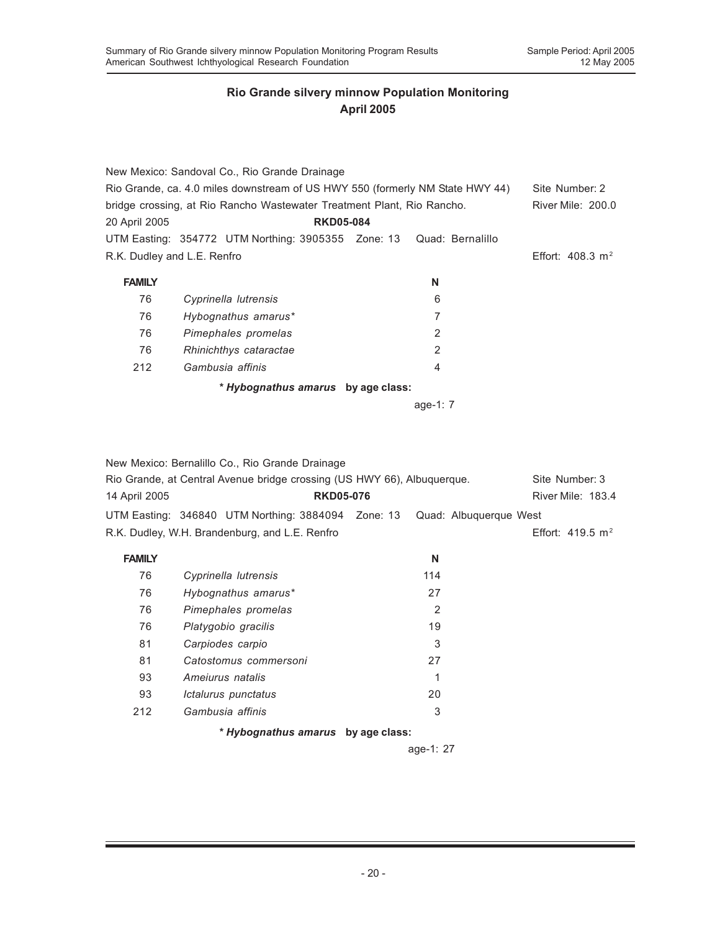|                                                                               | New Mexico: Sandoval Co., Rio Grande Drainage                          |          |                             |
|-------------------------------------------------------------------------------|------------------------------------------------------------------------|----------|-----------------------------|
| Rio Grande, ca. 4.0 miles downstream of US HWY 550 (formerly NM State HWY 44) | Site Number: 2                                                         |          |                             |
|                                                                               | bridge crossing, at Rio Rancho Wastewater Treatment Plant, Rio Rancho. |          | <b>River Mile: 200.0</b>    |
| 20 April 2005                                                                 | <b>RKD05-084</b>                                                       |          |                             |
|                                                                               | UTM Easting: 354772 UTM Northing: 3905355 Zone: 13 Quad: Bernalillo    |          |                             |
|                                                                               | R.K. Dudley and L.E. Renfro                                            |          | Effort: $408.3 \text{ m}^2$ |
| <b>FAMILY</b>                                                                 |                                                                        | N        |                             |
| 76                                                                            | Cyprinella lutrensis                                                   | 6        |                             |
| 76                                                                            | Hybognathus amarus*                                                    | 7        |                             |
| 76                                                                            | Pimephales promelas                                                    | 2        |                             |
| 76                                                                            | Rhinichthys cataractae                                                 | 2        |                             |
| 212                                                                           | Gambusia affinis                                                       | 4        |                             |
|                                                                               | * Hybognathus amarus by age class:                                     |          |                             |
|                                                                               |                                                                        | age-1: 7 |                             |

New Mexico: Bernalillo Co., Rio Grande Drainage

| Rio Grande, at Central Avenue bridge crossing (US HWY 66), Albuquerque. | Site Number: 3                                                              |                  |                    |  |
|-------------------------------------------------------------------------|-----------------------------------------------------------------------------|------------------|--------------------|--|
| 14 April 2005                                                           |                                                                             | <b>RKD05-076</b> |                    |  |
|                                                                         | UTM Easting: 346840 UTM Northing: 3884094  Zone: 13  Quad: Albuquerque West |                  |                    |  |
|                                                                         | R.K. Dudley, W.H. Brandenburg, and L.E. Renfro                              |                  | Effort: 419.5 $m2$ |  |
| <b>FAMILY</b>                                                           |                                                                             | N                |                    |  |
| 76                                                                      | Cyprinella lutrensis                                                        | 114              |                    |  |
| 76                                                                      | Hybognathus amarus*                                                         | 27               |                    |  |
| 76                                                                      | Pimephales promelas                                                         | $\overline{2}$   |                    |  |
| 76                                                                      | Platygobio gracilis                                                         | 19               |                    |  |
| 81                                                                      | Carpiodes carpio                                                            | 3                |                    |  |
| 81                                                                      | Catostomus commersoni                                                       | 27               |                    |  |
| 93                                                                      | Amejurus natalis                                                            | 1                |                    |  |
| 93                                                                      | Ictalurus punctatus                                                         | 20               |                    |  |
| 212                                                                     | Gambusia affinis                                                            | 3                |                    |  |
|                                                                         | * Hybognathus amarus by age class:                                          |                  |                    |  |

age-1: 27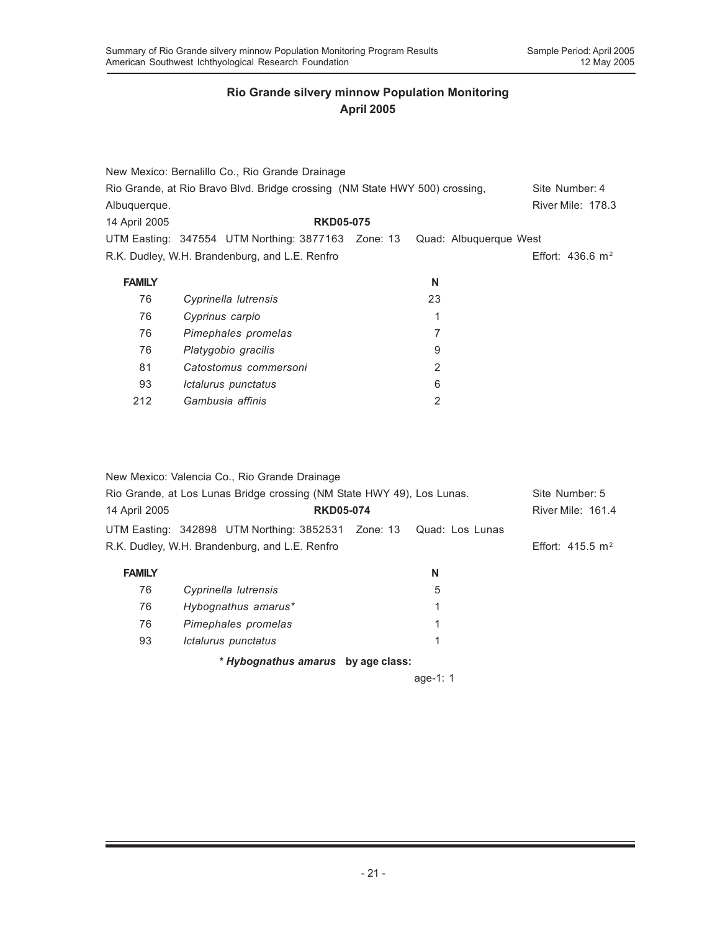|               | New Mexico: Bernalillo Co., Rio Grande Drainage                             |                        |                              |
|---------------|-----------------------------------------------------------------------------|------------------------|------------------------------|
|               | Rio Grande, at Rio Bravo Blvd. Bridge crossing (NM State HWY 500) crossing, |                        | Site Number: 4               |
| Albuquerque.  |                                                                             |                        | <b>River Mile: 178.3</b>     |
| 14 April 2005 | <b>RKD05-075</b>                                                            |                        |                              |
|               | UTM Easting: 347554 UTM Northing: 3877163 Zone: 13                          | Quad: Albuguergue West |                              |
|               | R.K. Dudley, W.H. Brandenburg, and L.E. Renfro                              |                        | Effort: 436.6 m <sup>2</sup> |
|               |                                                                             |                        |                              |
| <b>FAMILY</b> |                                                                             | N                      |                              |
| 76            | Cyprinella lutrensis                                                        | 23                     |                              |
| 76            | Cyprinus carpio                                                             | 1                      |                              |
| 76            | Pimephales promelas                                                         | 7                      |                              |
| 76            | Platygobio gracilis                                                         | 9                      |                              |
| 81            | Catostomus commersoni                                                       | 2                      |                              |
| 93            | Ictalurus punctatus                                                         | 6                      |                              |
| 212           | Gambusia affinis                                                            | 2                      |                              |
|               |                                                                             |                        |                              |

|               | New Mexico: Valencia Co., Rio Grande Drainage                          |   |                             |
|---------------|------------------------------------------------------------------------|---|-----------------------------|
|               | Rio Grande, at Los Lunas Bridge crossing (NM State HWY 49), Los Lunas. |   | Site Number: 5              |
| 14 April 2005 | <b>RKD05-074</b>                                                       |   | River Mile: 161.4           |
|               | UTM Easting: 342898 UTM Northing: 3852531 Zone: 13 Quad: Los Lunas     |   |                             |
|               | R.K. Dudley, W.H. Brandenburg, and L.E. Renfro                         |   | Effort: $415.5 \text{ m}^2$ |
| <b>FAMILY</b> |                                                                        | N |                             |
| 76            | Cyprinella lutrensis                                                   | 5 |                             |
| 76            | Hybognathus amarus*                                                    | 1 |                             |
| 76            | Pimephales promelas                                                    | 1 |                             |
| 93            | Ictalurus punctatus                                                    | 1 |                             |
|               | * Hybognathus amarus by age class:                                     |   |                             |

age-1: 1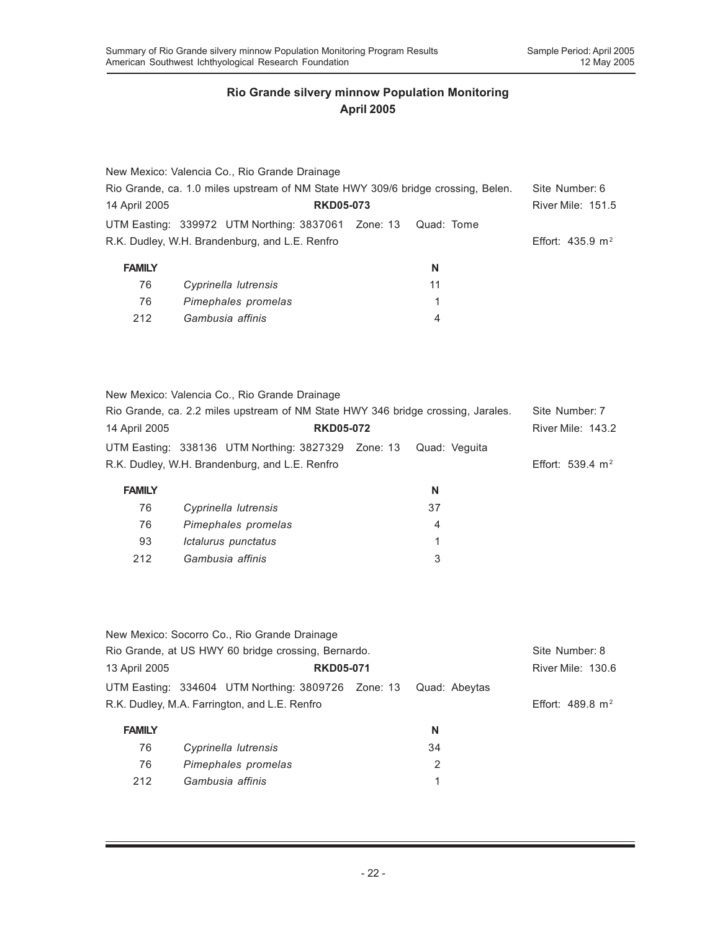|               | New Mexico: Valencia Co., Rio Grande Drainage                                    |            |                             |
|---------------|----------------------------------------------------------------------------------|------------|-----------------------------|
|               | Rio Grande, ca. 1.0 miles upstream of NM State HWY 309/6 bridge crossing, Belen. |            | Site Number: 6              |
| 14 April 2005 | <b>RKD05-073</b>                                                                 |            | River Mile: 151.5           |
|               | UTM Easting: 339972 UTM Northing: 3837061 Zone: 13                               | Quad: Tome |                             |
|               | R.K. Dudley, W.H. Brandenburg, and L.E. Renfro                                   |            | Effort: $435.9 \text{ m}^2$ |
| <b>FAMILY</b> |                                                                                  | N          |                             |
| 76            | Cyprinella lutrensis                                                             | 11         |                             |
|               |                                                                                  |            |                             |

| 76  | Pimephales promelas |  |
|-----|---------------------|--|
| 212 | Gambusia affinis    |  |

New Mexico: Valencia Co., Rio Grande Drainage

|               | Rio Grande, ca. 2.2 miles upstream of NM State HWY 346 bridge crossing, Jarales. |  | Site Number: 7           |  |
|---------------|----------------------------------------------------------------------------------|--|--------------------------|--|
| 14 April 2005 | <b>RKD05-072</b>                                                                 |  | <b>River Mile: 143.2</b> |  |
|               | UTM Easting: 338136 UTM Northing: 3827329 Zone: 13 Quad: Veguita                 |  |                          |  |
|               | R.K. Dudley, W.H. Brandenburg, and L.E. Renfro                                   |  | Effort: 539.4 $m2$       |  |
|               |                                                                                  |  |                          |  |

| <b>FAMILY</b> |                      | N  |
|---------------|----------------------|----|
| 76            | Cyprinella lutrensis | 37 |
| 76            | Pimephales promelas  | 4  |
| 93            | Ictalurus punctatus  |    |
| 212           | Gambusia affinis     | 3  |

| New Mexico: Socorro Co., Rio Grande Drainage                                                                         |                    |
|----------------------------------------------------------------------------------------------------------------------|--------------------|
| Rio Grande, at US HWY 60 bridge crossing, Bernardo.                                                                  | Site Number: 8     |
| 13 April 2005<br><b>RKD05-071</b>                                                                                    | River Mile: 130.6  |
| UTM Easting: 334604 UTM Northing: 3809726 Zone: 13<br>Quad: Abeytas<br>R.K. Dudley, M.A. Farrington, and L.E. Renfro | Effort: 489.8 $m2$ |
| <b>FAMILY</b><br>N                                                                                                   |                    |
| 76<br>34<br>Cyprinella lutrensis                                                                                     |                    |
| 76<br>Pimephales promelas<br>2                                                                                       |                    |
| 212<br>Gambusia affinis<br>1                                                                                         |                    |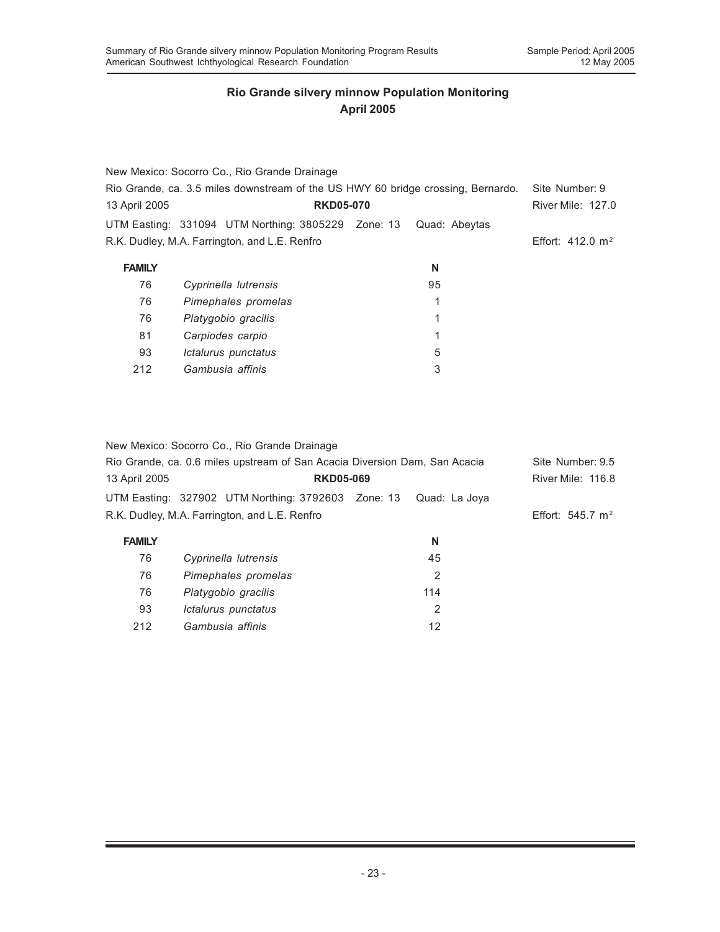|               | New Mexico: Socorro Co., Rio Grande Drainage                                     |               |                             |
|---------------|----------------------------------------------------------------------------------|---------------|-----------------------------|
|               | Rio Grande, ca. 3.5 miles downstream of the US HWY 60 bridge crossing, Bernardo. |               | Site Number: 9              |
| 13 April 2005 | <b>RKD05-070</b>                                                                 |               | <b>River Mile: 127.0</b>    |
|               | UTM Easting: 331094 UTM Northing: 3805229 Zone: 13                               | Quad: Abeytas |                             |
|               | R.K. Dudley, M.A. Farrington, and L.E. Renfro                                    |               | Effort: $412.0 \text{ m}^2$ |
| <b>FAMILY</b> |                                                                                  | N             |                             |
| 76            | Cyprinella lutrensis                                                             | 95            |                             |
| 76            | Pimephales promelas                                                              | $\mathbf{1}$  |                             |
| 76            | Platygobio gracilis                                                              | 1             |                             |
| 81            | Carpiodes carpio                                                                 | 1             |                             |
| 93            | Ictalurus punctatus                                                              | 5             |                             |
| 212           | Gambusia affinis                                                                 | 3             |                             |

New Mexico: Socorro Co., Rio Grande Drainage

| Rio Grande, ca. 0.6 miles upstream of San Acacia Diversion Dam, San Acacia |                                                    | Site Number: 9.5 |                          |
|----------------------------------------------------------------------------|----------------------------------------------------|------------------|--------------------------|
| 13 April 2005                                                              | <b>RKD05-069</b>                                   |                  | <b>River Mile: 116.8</b> |
|                                                                            | UTM Easting: 327902 UTM Northing: 3792603 Zone: 13 | Quad: La Joya    |                          |
|                                                                            | R.K. Dudley, M.A. Farrington, and L.E. Renfro      |                  | Effort: 545.7 $m^2$      |
| <b>FAMILY</b>                                                              |                                                    | N                |                          |
| 76                                                                         | Cyprinella lutrensis                               | 45               |                          |
| 76                                                                         | Pimephales promelas                                | 2                |                          |
| 76                                                                         | Platygobio gracilis                                | 114              |                          |
| 93                                                                         | Ictalurus punctatus                                | $\overline{2}$   |                          |
| 212                                                                        | Gambusia affinis                                   | 12               |                          |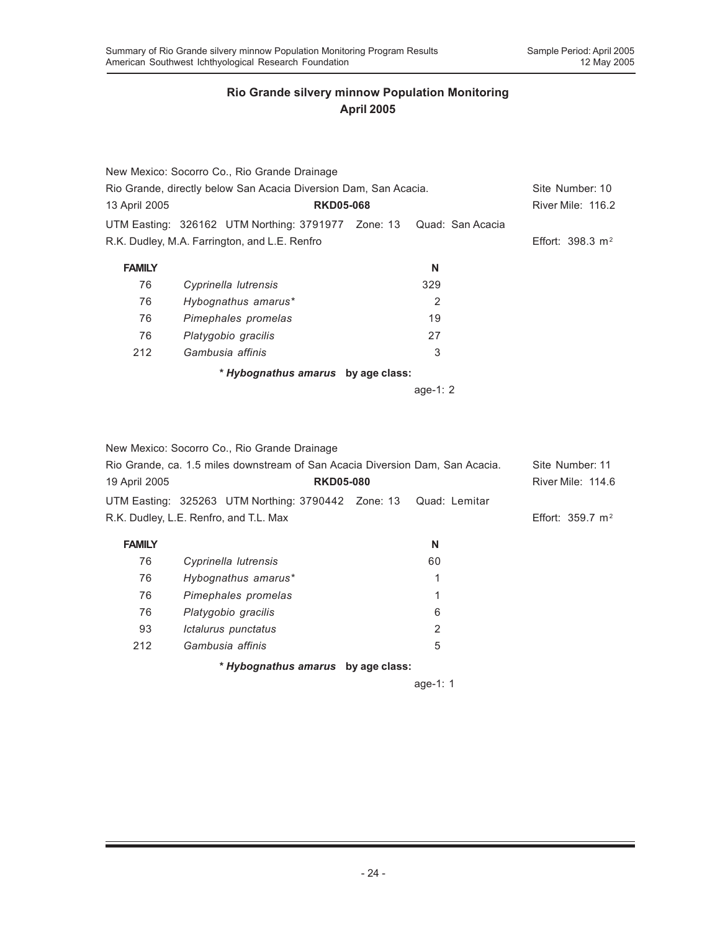|                                                                  | New Mexico: Socorro Co., Rio Grande Drainage                        |  |            |                          |
|------------------------------------------------------------------|---------------------------------------------------------------------|--|------------|--------------------------|
| Rio Grande, directly below San Acacia Diversion Dam, San Acacia. |                                                                     |  |            | Site Number: 10          |
| 13 April 2005                                                    | <b>RKD05-068</b>                                                    |  |            | <b>River Mile: 116.2</b> |
|                                                                  | UTM Easting: 326162 UTM Northing: 3791977 Zone: 13 Quad: San Acacia |  |            |                          |
|                                                                  | R.K. Dudley, M.A. Farrington, and L.E. Renfro                       |  |            | Effort: 398.3 $m2$       |
| <b>FAMILY</b>                                                    |                                                                     |  | N          |                          |
| 76                                                               | Cyprinella lutrensis                                                |  | 329        |                          |
| 76                                                               | Hybognathus amarus*                                                 |  | 2          |                          |
| 76                                                               | Pimephales promelas                                                 |  | 19         |                          |
| 76                                                               | Platygobio gracilis                                                 |  | 27         |                          |
| 212                                                              | Gambusia affinis                                                    |  | 3          |                          |
|                                                                  | * Hybognathus amarus by age class:                                  |  |            |                          |
|                                                                  |                                                                     |  | age-1: $2$ |                          |
|                                                                  |                                                                     |  |            |                          |

New Mexico: Socorro Co., Rio Grande Drainage

| Rio Grande, ca. 1.5 miles downstream of San Acacia Diversion Dam, San Acacia. |                                        |  | Site Number: 11 |                             |
|-------------------------------------------------------------------------------|----------------------------------------|--|-----------------|-----------------------------|
| 19 April 2005                                                                 | <b>RKD05-080</b>                       |  |                 | River Mile: 114.6           |
|                                                                               |                                        |  |                 |                             |
|                                                                               | R.K. Dudley, L.E. Renfro, and T.L. Max |  |                 | Effort: $359.7 \text{ m}^2$ |
| <b>FAMILY</b>                                                                 |                                        |  | N               |                             |
| 76                                                                            | Cyprinella lutrensis                   |  | 60              |                             |
| 76                                                                            | Hybognathus amarus*                    |  | 1               |                             |
| 76                                                                            | Pimephales promelas                    |  |                 |                             |

| 76  | Platygobio gracilis |  |
|-----|---------------------|--|
| 93  | Ictalurus punctatus |  |
| 212 | Gambusia affinis    |  |
|     |                     |  |

*\* Hybognathus amarus* **by age class:**

age-1: 1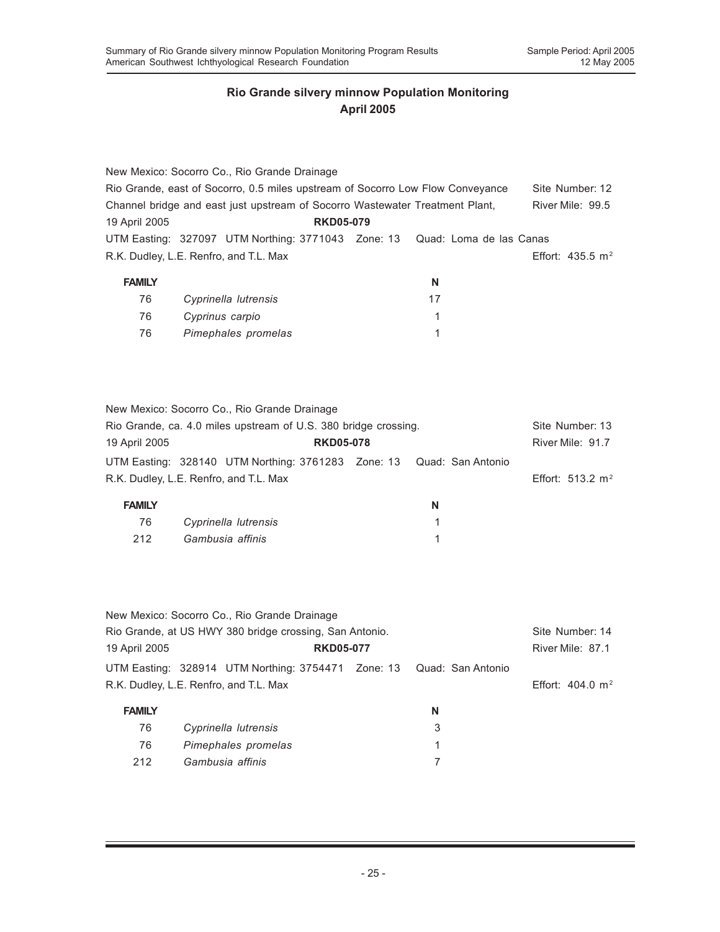| New Mexico: Socorro Co., Rio Grande Drainage                                   |  |  |                  |  |                                                                              |                             |  |
|--------------------------------------------------------------------------------|--|--|------------------|--|------------------------------------------------------------------------------|-----------------------------|--|
| Rio Grande, east of Socorro, 0.5 miles upstream of Socorro Low Flow Conveyance |  |  |                  |  | Site Number: 12                                                              |                             |  |
|                                                                                |  |  |                  |  | Channel bridge and east just upstream of Socorro Wastewater Treatment Plant, | River Mile: 99.5            |  |
| 19 April 2005                                                                  |  |  | <b>RKD05-079</b> |  |                                                                              |                             |  |
|                                                                                |  |  |                  |  | UTM Easting: 327097 UTM Northing: 3771043 Zone: 13 Quad: Loma de las Canas   |                             |  |
| R.K. Dudley, L.E. Renfro, and T.L. Max                                         |  |  |                  |  |                                                                              | Effort: $435.5 \text{ m}^2$ |  |
| <b>FAMILY</b>                                                                  |  |  |                  |  | N                                                                            |                             |  |

| Cyprinella lutrensis |  |
|----------------------|--|
| Cyprinus carpio      |  |
| Pimephales promelas  |  |
|                      |  |

|                                                                 | New Mexico: Socorro Co., Rio Grande Drainage                         |  |                  |                    |
|-----------------------------------------------------------------|----------------------------------------------------------------------|--|------------------|--------------------|
| Rio Grande, ca. 4.0 miles upstream of U.S. 380 bridge crossing. |                                                                      |  |                  | Site Number: 13    |
| 19 April 2005<br><b>RKD05-078</b>                               |                                                                      |  | River Mile: 91.7 |                    |
|                                                                 | UTM Easting: 328140 UTM Northing: 3761283 Zone: 13 Quad: San Antonio |  |                  |                    |
| R.K. Dudley, L.E. Renfro, and T.L. Max                          |                                                                      |  |                  | Effort: 513.2 $m2$ |
| <b>FAMILY</b>                                                   |                                                                      |  | N                |                    |

| <b>FAMILY</b> |                      |  |
|---------------|----------------------|--|
| 76            | Cyprinella lutrensis |  |
| 212           | Gambusia affinis     |  |

|                                                         | New Mexico: Socorro Co., Rio Grande Drainage                                                                   |                  |   |                             |
|---------------------------------------------------------|----------------------------------------------------------------------------------------------------------------|------------------|---|-----------------------------|
| Rio Grande, at US HWY 380 bridge crossing, San Antonio. | Site Number: 14                                                                                                |                  |   |                             |
| 19 April 2005                                           |                                                                                                                | <b>RKD05-077</b> |   |                             |
|                                                         | UTM Easting: 328914 UTM Northing: 3754471 Zone: 13 Quad: San Antonio<br>R.K. Dudley, L.E. Renfro, and T.L. Max |                  |   | Effort: $404.0 \text{ m}^2$ |
| <b>FAMILY</b>                                           |                                                                                                                |                  | N |                             |
| 76                                                      | Cyprinella lutrensis                                                                                           |                  | 3 |                             |
| 76                                                      | Pimephales promelas                                                                                            |                  | 1 |                             |
| 212                                                     | Gambusia affinis                                                                                               |                  | 7 |                             |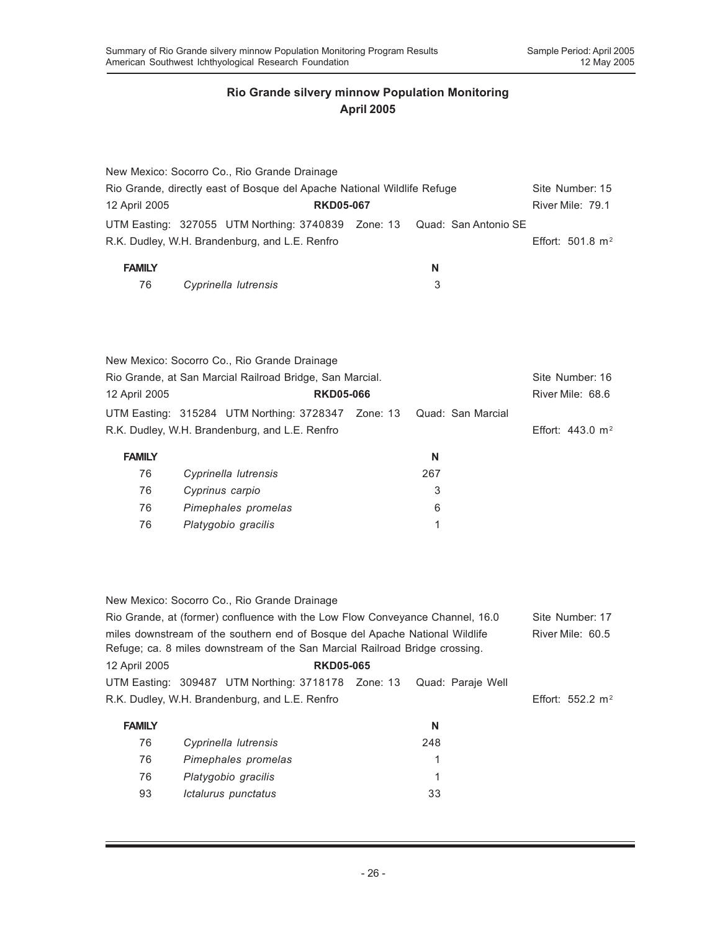|                                                                         | New Mexico: Socorro Co., Rio Grande Drainage                                                                                                               |     |                      |                              |
|-------------------------------------------------------------------------|------------------------------------------------------------------------------------------------------------------------------------------------------------|-----|----------------------|------------------------------|
| Rio Grande, directly east of Bosque del Apache National Wildlife Refuge | Site Number: 15                                                                                                                                            |     |                      |                              |
| 12 April 2005<br><b>RKD05-067</b>                                       |                                                                                                                                                            |     | River Mile: 79.1     |                              |
|                                                                         | UTM Easting: 327055 UTM Northing: 3740839 Zone: 13                                                                                                         |     | Quad: San Antonio SE |                              |
|                                                                         | R.K. Dudley, W.H. Brandenburg, and L.E. Renfro                                                                                                             |     |                      | Effort: 501.8 $m^2$          |
|                                                                         |                                                                                                                                                            |     |                      |                              |
| <b>FAMILY</b><br>76                                                     |                                                                                                                                                            | N   |                      |                              |
|                                                                         | Cyprinella lutrensis                                                                                                                                       | 3   |                      |                              |
|                                                                         |                                                                                                                                                            |     |                      |                              |
|                                                                         | New Mexico: Socorro Co., Rio Grande Drainage                                                                                                               |     |                      |                              |
|                                                                         | Rio Grande, at San Marcial Railroad Bridge, San Marcial.                                                                                                   |     |                      | Site Number: 16              |
| 12 April 2005                                                           | <b>RKD05-066</b>                                                                                                                                           |     |                      | River Mile: 68.6             |
|                                                                         | UTM Easting: 315284 UTM Northing: 3728347 Zone: 13                                                                                                         |     | Quad: San Marcial    |                              |
|                                                                         | R.K. Dudley, W.H. Brandenburg, and L.E. Renfro                                                                                                             |     |                      | Effort: $443.0 \text{ m}^2$  |
| <b>FAMILY</b>                                                           |                                                                                                                                                            | N   |                      |                              |
| 76                                                                      | Cyprinella lutrensis                                                                                                                                       | 267 |                      |                              |
| 76                                                                      | Cyprinus carpio                                                                                                                                            | 3   |                      |                              |
| 76                                                                      | Pimephales promelas                                                                                                                                        | 6   |                      |                              |
| 76                                                                      | Platygobio gracilis                                                                                                                                        | 1   |                      |                              |
|                                                                         |                                                                                                                                                            |     |                      |                              |
|                                                                         | New Mexico: Socorro Co., Rio Grande Drainage                                                                                                               |     |                      |                              |
|                                                                         | Rio Grande, at (former) confluence with the Low Flow Conveyance Channel, 16.0                                                                              |     |                      | Site Number: 17              |
|                                                                         | miles downstream of the southern end of Bosque del Apache National Wildlife<br>Refuge; ca. 8 miles downstream of the San Marcial Railroad Bridge crossing. |     |                      | River Mile: 60.5             |
| 12 April 2005                                                           | <b>RKD05-065</b>                                                                                                                                           |     |                      |                              |
|                                                                         | UTM Easting: 309487 UTM Northing: 3718178 Zone: 13                                                                                                         |     | Quad: Paraje Well    |                              |
|                                                                         | R.K. Dudley, W.H. Brandenburg, and L.E. Renfro                                                                                                             |     |                      | Effort: 552.2 m <sup>2</sup> |
| <b>FAMILY</b>                                                           |                                                                                                                                                            | N   |                      |                              |
| 76                                                                      | Cyprinella lutrensis                                                                                                                                       | 248 |                      |                              |
| 76                                                                      | Pimephales promelas                                                                                                                                        | 1   |                      |                              |
| 76                                                                      | Platygobio gracilis                                                                                                                                        | 1   |                      |                              |

93 *Ictalurus punctatus* 33